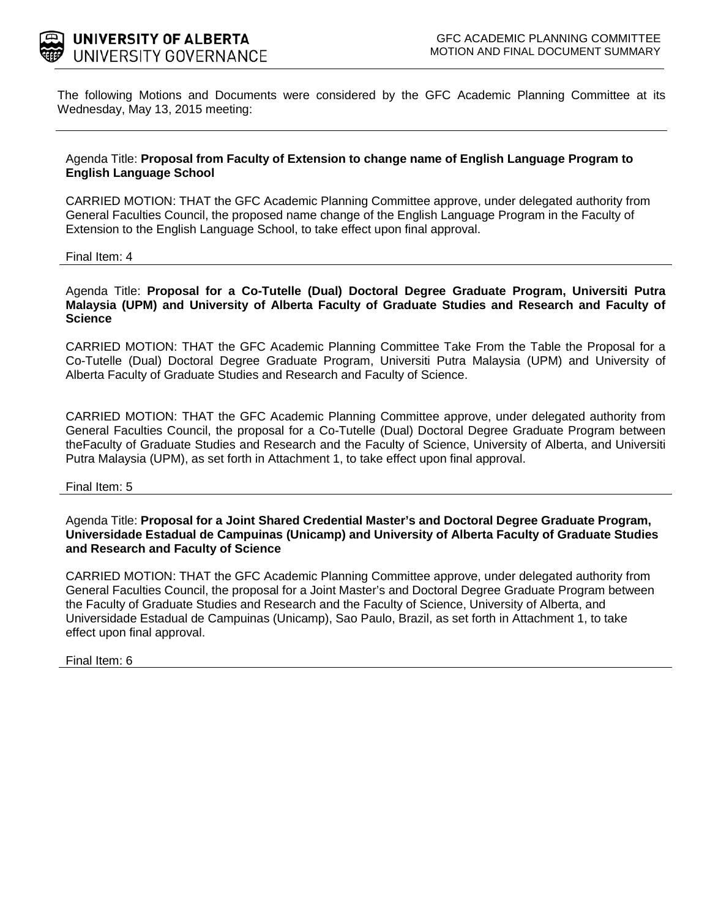

The following Motions and Documents were considered by the GFC Academic Planning Committee at its Wednesday, May 13, 2015 meeting:

#### Agenda Title: **Proposal from Faculty of Extension to change name of English Language Program to English Language School**

CARRIED MOTION: THAT the GFC Academic Planning Committee approve, under delegated authority from General Faculties Council, the proposed name change of the English Language Program in the Faculty of Extension to the English Language School, to take effect upon final approval.

Final Item: 4

Agenda Title: **Proposal for a Co-Tutelle (Dual) Doctoral Degree Graduate Program, Universiti Putra Malaysia (UPM) and University of Alberta Faculty of Graduate Studies and Research and Faculty of Science**

CARRIED MOTION: THAT the GFC Academic Planning Committee Take From the Table the Proposal for a Co-Tutelle (Dual) Doctoral Degree Graduate Program, Universiti Putra Malaysia (UPM) and University of Alberta Faculty of Graduate Studies and Research and Faculty of Science.

CARRIED MOTION: THAT the GFC Academic Planning Committee approve, under delegated authority from General Faculties Council, the proposal for a Co-Tutelle (Dual) Doctoral Degree Graduate Program between theFaculty of Graduate Studies and Research and the Faculty of Science, University of Alberta, and Universiti Putra Malaysia (UPM), as set forth in Attachment 1, to take effect upon final approval.

#### Final Item: 5

Agenda Title: **Proposal for a Joint Shared Credential Master's and Doctoral Degree Graduate Program, Universidade Estadual de Campuinas (Unicamp) and University of Alberta Faculty of Graduate Studies and Research and Faculty of Science**

CARRIED MOTION: THAT the GFC Academic Planning Committee approve, under delegated authority from General Faculties Council, the proposal for a Joint Master's and Doctoral Degree Graduate Program between the Faculty of Graduate Studies and Research and the Faculty of Science, University of Alberta, and Universidade Estadual de Campuinas (Unicamp), Sao Paulo, Brazil, as set forth in Attachment 1, to take effect upon final approval.

Final Item: 6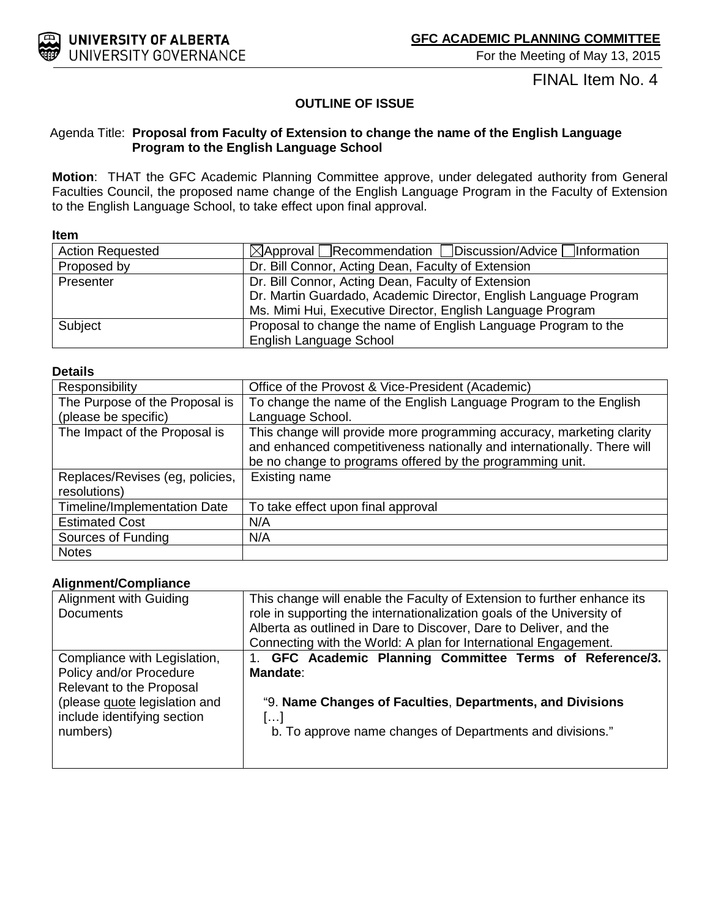

For the Meeting of May 13, 2015

# FINAL Item No. 4

### **OUTLINE OF ISSUE**

#### Agenda Title: **Proposal from Faculty of Extension to change the name of the English Language Program to the English Language School**

**Motion**: THAT the GFC Academic Planning Committee approve, under delegated authority from General Faculties Council, the proposed name change of the English Language Program in the Faculty of Extension to the English Language School, to take effect upon final approval.

#### **Item**

| <b>Action Requested</b> | $\boxtimes$ Approval Recommendation Discussion/Advice Information |
|-------------------------|-------------------------------------------------------------------|
|                         |                                                                   |
| Proposed by             | Dr. Bill Connor, Acting Dean, Faculty of Extension                |
| Presenter               | Dr. Bill Connor, Acting Dean, Faculty of Extension                |
|                         | Dr. Martin Guardado, Academic Director, English Language Program  |
|                         | Ms. Mimi Hui, Executive Director, English Language Program        |
| Subject                 | Proposal to change the name of English Language Program to the    |
|                         | English Language School                                           |

#### **Details**

| Responsibility                      | Office of the Provost & Vice-President (Academic)                       |
|-------------------------------------|-------------------------------------------------------------------------|
| The Purpose of the Proposal is      | To change the name of the English Language Program to the English       |
| (please be specific)                | Language School.                                                        |
| The Impact of the Proposal is       | This change will provide more programming accuracy, marketing clarity   |
|                                     | and enhanced competitiveness nationally and internationally. There will |
|                                     | be no change to programs offered by the programming unit.               |
| Replaces/Revises (eg, policies,     | Existing name                                                           |
| resolutions)                        |                                                                         |
| <b>Timeline/Implementation Date</b> | To take effect upon final approval                                      |
| <b>Estimated Cost</b>               | N/A                                                                     |
| Sources of Funding                  | N/A                                                                     |
| <b>Notes</b>                        |                                                                         |

#### **Alignment/Compliance**

| Alignment with Guiding<br><b>Documents</b> | This change will enable the Faculty of Extension to further enhance its<br>role in supporting the internationalization goals of the University of |
|--------------------------------------------|---------------------------------------------------------------------------------------------------------------------------------------------------|
|                                            | Alberta as outlined in Dare to Discover, Dare to Deliver, and the                                                                                 |
|                                            | Connecting with the World: A plan for International Engagement.                                                                                   |
| Compliance with Legislation,               | 1. GFC Academic Planning Committee Terms of Reference/3.                                                                                          |
| Policy and/or Procedure                    | <b>Mandate:</b>                                                                                                                                   |
| Relevant to the Proposal                   |                                                                                                                                                   |
| (please guote legislation and              | "9. Name Changes of Faculties, Departments, and Divisions                                                                                         |
| include identifying section                |                                                                                                                                                   |
| numbers)                                   | b. To approve name changes of Departments and divisions."                                                                                         |
|                                            |                                                                                                                                                   |
|                                            |                                                                                                                                                   |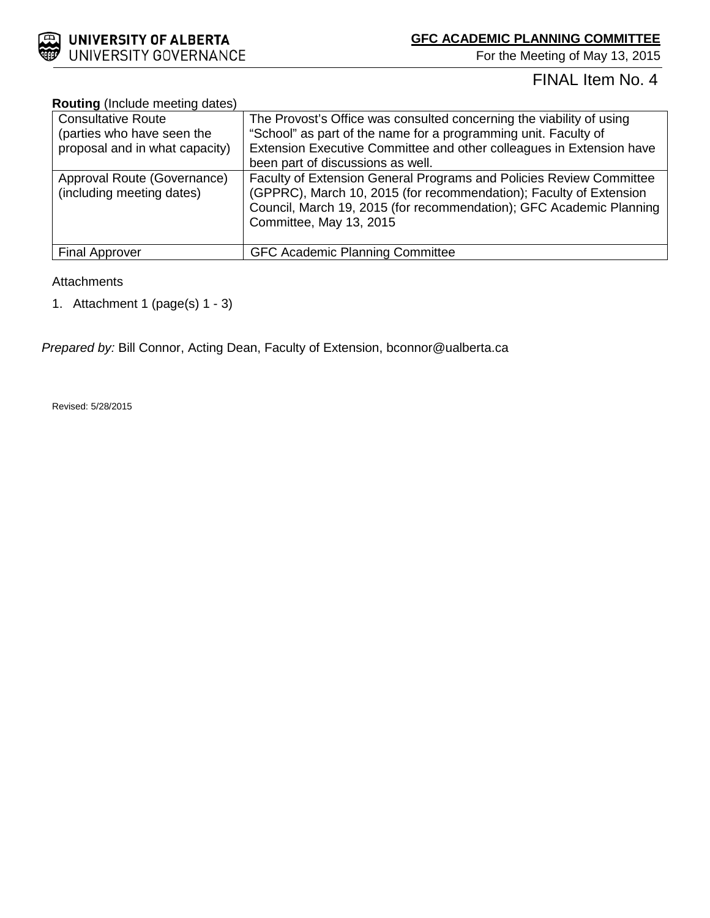

For the Meeting of May 13, 2015

# FINAL Item No. 4

#### **Routing** (Include meeting dates)

| <b>Consultative Route</b>                                | The Provost's Office was consulted concerning the viability of using                                                                                                                                                                        |
|----------------------------------------------------------|---------------------------------------------------------------------------------------------------------------------------------------------------------------------------------------------------------------------------------------------|
| (parties who have seen the                               | "School" as part of the name for a programming unit. Faculty of                                                                                                                                                                             |
| proposal and in what capacity)                           | Extension Executive Committee and other colleagues in Extension have                                                                                                                                                                        |
|                                                          | been part of discussions as well.                                                                                                                                                                                                           |
| Approval Route (Governance)<br>(including meeting dates) | Faculty of Extension General Programs and Policies Review Committee<br>(GPPRC), March 10, 2015 (for recommendation); Faculty of Extension<br>Council, March 19, 2015 (for recommendation); GFC Academic Planning<br>Committee, May 13, 2015 |
| <b>Final Approver</b>                                    | <b>GFC Academic Planning Committee</b>                                                                                                                                                                                                      |

#### **Attachments**

1. Attachment 1 (page(s) 1 - 3)

*Prepared by:* Bill Connor, Acting Dean, Faculty of Extension, bconnor@ualberta.ca

Revised: 5/28/2015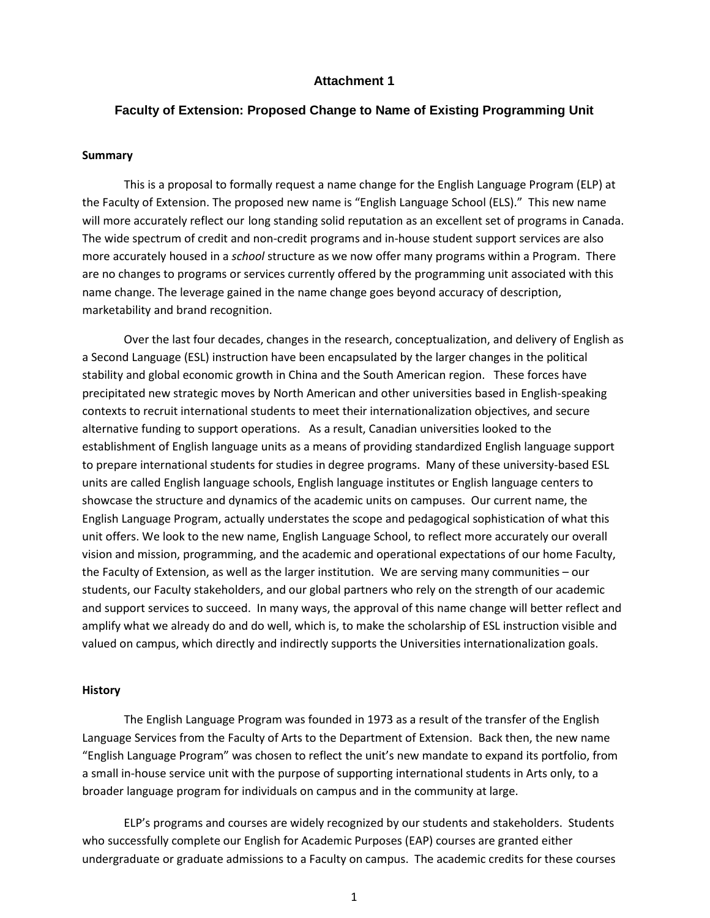#### **Attachment 1**

#### **Faculty of Extension: Proposed Change to Name of Existing Programming Unit**

#### **Summary**

This is a proposal to formally request a name change for the English Language Program (ELP) at the Faculty of Extension. The proposed new name is "English Language School (ELS)." This new name will more accurately reflect our long standing solid reputation as an excellent set of programs in Canada. The wide spectrum of credit and non-credit programs and in-house student support services are also more accurately housed in a *school* structure as we now offer many programs within a Program. There are no changes to programs or services currently offered by the programming unit associated with this name change. The leverage gained in the name change goes beyond accuracy of description, marketability and brand recognition.

Over the last four decades, changes in the research, conceptualization, and delivery of English as a Second Language (ESL) instruction have been encapsulated by the larger changes in the political stability and global economic growth in China and the South American region. These forces have precipitated new strategic moves by North American and other universities based in English-speaking contexts to recruit international students to meet their internationalization objectives, and secure alternative funding to support operations. As a result, Canadian universities looked to the establishment of English language units as a means of providing standardized English language support to prepare international students for studies in degree programs. Many of these university-based ESL units are called English language schools, English language institutes or English language centers to showcase the structure and dynamics of the academic units on campuses. Our current name, the English Language Program, actually understates the scope and pedagogical sophistication of what this unit offers. We look to the new name, English Language School, to reflect more accurately our overall vision and mission, programming, and the academic and operational expectations of our home Faculty, the Faculty of Extension, as well as the larger institution. We are serving many communities – our students, our Faculty stakeholders, and our global partners who rely on the strength of our academic and support services to succeed. In many ways, the approval of this name change will better reflect and amplify what we already do and do well, which is, to make the scholarship of ESL instruction visible and valued on campus, which directly and indirectly supports the Universities internationalization goals.

#### **History**

The English Language Program was founded in 1973 as a result of the transfer of the English Language Services from the Faculty of Arts to the Department of Extension. Back then, the new name "English Language Program" was chosen to reflect the unit's new mandate to expand its portfolio, from a small in-house service unit with the purpose of supporting international students in Arts only, to a broader language program for individuals on campus and in the community at large.

ELP's programs and courses are widely recognized by our students and stakeholders. Students who successfully complete our English for Academic Purposes (EAP) courses are granted either undergraduate or graduate admissions to a Faculty on campus. The academic credits for these courses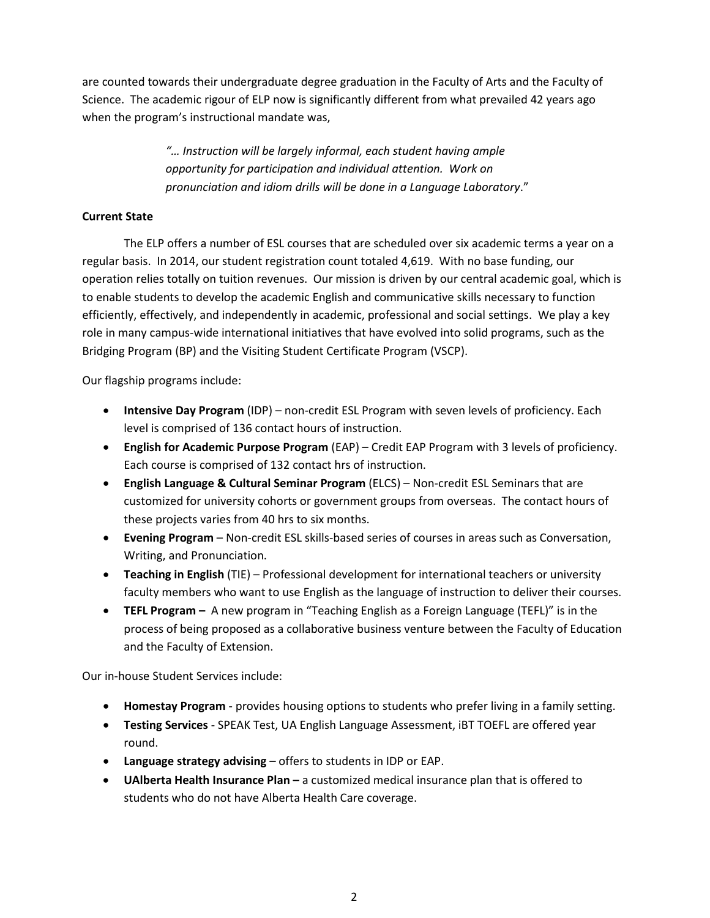are counted towards their undergraduate degree graduation in the Faculty of Arts and the Faculty of Science. The academic rigour of ELP now is significantly different from what prevailed 42 years ago when the program's instructional mandate was,

> *"… Instruction will be largely informal, each student having ample opportunity for participation and individual attention. Work on pronunciation and idiom drills will be done in a Language Laboratory*."

#### **Current State**

The ELP offers a number of ESL courses that are scheduled over six academic terms a year on a regular basis. In 2014, our student registration count totaled 4,619. With no base funding, our operation relies totally on tuition revenues. Our mission is driven by our central academic goal, which is to enable students to develop the academic English and communicative skills necessary to function efficiently, effectively, and independently in academic, professional and social settings. We play a key role in many campus-wide international initiatives that have evolved into solid programs, such as the Bridging Program (BP) and the Visiting Student Certificate Program (VSCP).

Our flagship programs include:

- **Intensive Day Program** (IDP) non-credit ESL Program with seven levels of proficiency. Each level is comprised of 136 contact hours of instruction.
- **English for Academic Purpose Program** (EAP) Credit EAP Program with 3 levels of proficiency. Each course is comprised of 132 contact hrs of instruction.
- **English Language & Cultural Seminar Program** (ELCS) Non-credit ESL Seminars that are customized for university cohorts or government groups from overseas. The contact hours of these projects varies from 40 hrs to six months.
- **Evening Program** Non-credit ESL skills-based series of courses in areas such as Conversation, Writing, and Pronunciation.
- **Teaching in English** (TIE) Professional development for international teachers or university faculty members who want to use English as the language of instruction to deliver their courses.
- **TEFL Program –** A new program in "Teaching English as a Foreign Language (TEFL)" is in the process of being proposed as a collaborative business venture between the Faculty of Education and the Faculty of Extension.

Our in-house Student Services include:

- **Homestay Program** provides housing options to students who prefer living in a family setting.
- **Testing Services** SPEAK Test, UA English Language Assessment, iBT TOEFL are offered year round.
- **Language strategy advising** offers to students in IDP or EAP.
- **UAlberta Health Insurance Plan –** a customized medical insurance plan that is offered to students who do not have Alberta Health Care coverage.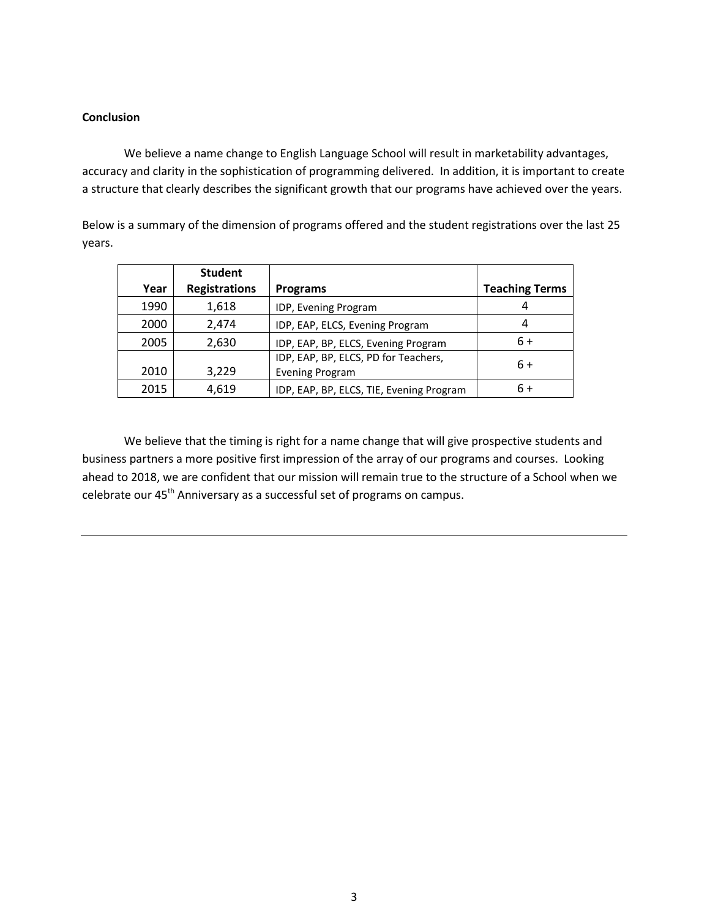#### **Conclusion**

We believe a name change to English Language School will result in marketability advantages, accuracy and clarity in the sophistication of programming delivered. In addition, it is important to create a structure that clearly describes the significant growth that our programs have achieved over the years.

Below is a summary of the dimension of programs offered and the student registrations over the last 25 years.

|      | <b>Student</b>       |                                                                |                       |
|------|----------------------|----------------------------------------------------------------|-----------------------|
| Year | <b>Registrations</b> | Programs                                                       | <b>Teaching Terms</b> |
| 1990 | 1,618                | IDP, Evening Program                                           |                       |
| 2000 | 2,474                | IDP, EAP, ELCS, Evening Program                                | 4                     |
| 2005 | 2,630                | IDP, EAP, BP, ELCS, Evening Program                            | $6+$                  |
| 2010 | 3,229                | IDP, EAP, BP, ELCS, PD for Teachers,<br><b>Evening Program</b> | $6+$                  |
| 2015 | 4,619                | IDP, EAP, BP, ELCS, TIE, Evening Program                       | 6+                    |

We believe that the timing is right for a name change that will give prospective students and business partners a more positive first impression of the array of our programs and courses. Looking ahead to 2018, we are confident that our mission will remain true to the structure of a School when we celebrate our 45<sup>th</sup> Anniversary as a successful set of programs on campus.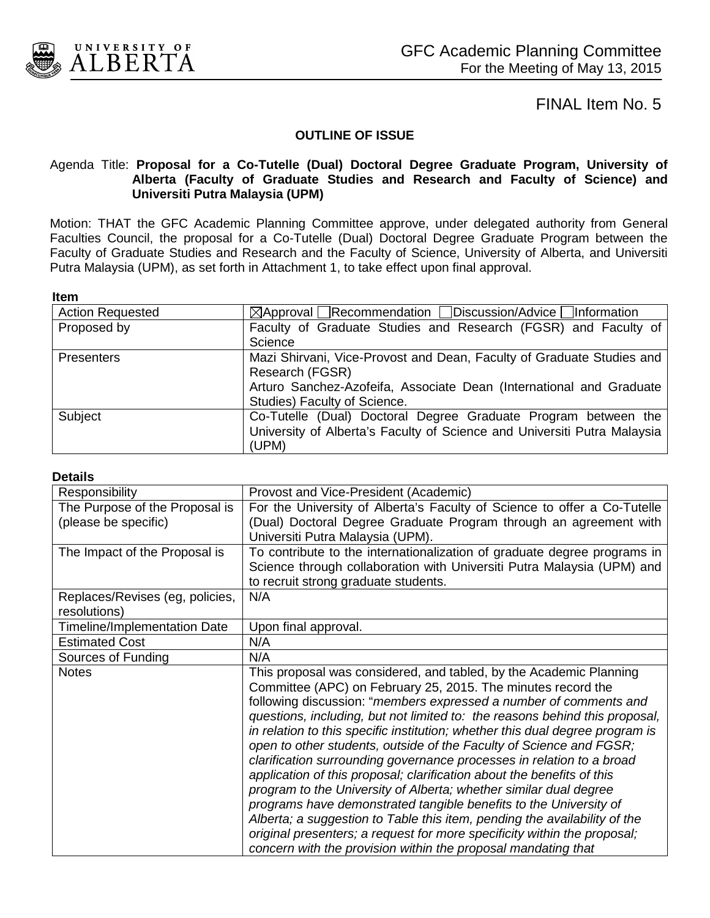

#### **OUTLINE OF ISSUE**

#### Agenda Title: **Proposal for a Co-Tutelle (Dual) Doctoral Degree Graduate Program, University of Alberta (Faculty of Graduate Studies and Research and Faculty of Science) and Universiti Putra Malaysia (UPM)**

Motion: THAT the GFC Academic Planning Committee approve, under delegated authority from General Faculties Council, the proposal for a Co-Tutelle (Dual) Doctoral Degree Graduate Program between the Faculty of Graduate Studies and Research and the Faculty of Science, University of Alberta, and Universiti Putra Malaysia (UPM), as set forth in Attachment 1, to take effect upon final approval.

#### **Item**

| <b>Action Requested</b> | $\boxtimes$ Approval Recommendation Discussion/Advice Information        |
|-------------------------|--------------------------------------------------------------------------|
| Proposed by             | Faculty of Graduate Studies and Research (FGSR) and Faculty of           |
|                         | Science                                                                  |
| <b>Presenters</b>       | Mazi Shirvani, Vice-Provost and Dean, Faculty of Graduate Studies and    |
|                         | Research (FGSR)                                                          |
|                         | Arturo Sanchez-Azofeifa, Associate Dean (International and Graduate)     |
|                         | Studies) Faculty of Science.                                             |
| Subject                 | Co-Tutelle (Dual) Doctoral Degree Graduate Program between the           |
|                         | University of Alberta's Faculty of Science and Universiti Putra Malaysia |
|                         | (UPM)                                                                    |

#### **Details**

| Responsibility                  | Provost and Vice-President (Academic)                                         |
|---------------------------------|-------------------------------------------------------------------------------|
| The Purpose of the Proposal is  | For the University of Alberta's Faculty of Science to offer a Co-Tutelle      |
| (please be specific)            | (Dual) Doctoral Degree Graduate Program through an agreement with             |
|                                 | Universiti Putra Malaysia (UPM).                                              |
| The Impact of the Proposal is   | To contribute to the internationalization of graduate degree programs in      |
|                                 | Science through collaboration with Universiti Putra Malaysia (UPM) and        |
|                                 | to recruit strong graduate students.                                          |
| Replaces/Revises (eg, policies, | N/A                                                                           |
| resolutions)                    |                                                                               |
| Timeline/Implementation Date    | Upon final approval.                                                          |
| <b>Estimated Cost</b>           | N/A                                                                           |
| Sources of Funding              | N/A                                                                           |
| <b>Notes</b>                    | This proposal was considered, and tabled, by the Academic Planning            |
|                                 | Committee (APC) on February 25, 2015. The minutes record the                  |
|                                 | following discussion: "members expressed a number of comments and             |
|                                 | questions, including, but not limited to: the reasons behind this proposal,   |
|                                 | in relation to this specific institution; whether this dual degree program is |
|                                 | open to other students, outside of the Faculty of Science and FGSR;           |
|                                 | clarification surrounding governance processes in relation to a broad         |
|                                 | application of this proposal; clarification about the benefits of this        |
|                                 | program to the University of Alberta; whether similar dual degree             |
|                                 | programs have demonstrated tangible benefits to the University of             |
|                                 | Alberta; a suggestion to Table this item, pending the availability of the     |
|                                 | original presenters; a request for more specificity within the proposal;      |
|                                 | concern with the provision within the proposal mandating that                 |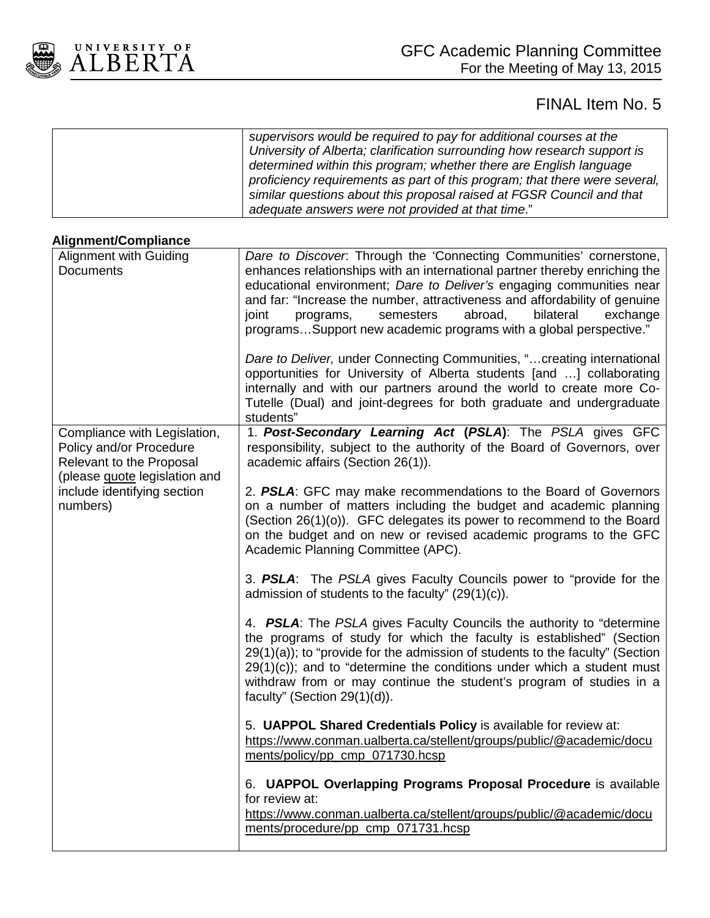

| supervisors would be required to pay for additional courses at the<br>University of Alberta; clarification surrounding how research support is<br>determined within this program; whether there are English language<br>proficiency requirements as part of this program; that there were several,<br>similar questions about this proposal raised at FGSR Council and that |
|-----------------------------------------------------------------------------------------------------------------------------------------------------------------------------------------------------------------------------------------------------------------------------------------------------------------------------------------------------------------------------|
| adequate answers were not provided at that time."                                                                                                                                                                                                                                                                                                                           |

#### **Alignment/Compliance**

| <b>Alignment with Guiding</b>                                                                                        | Dare to Discover. Through the 'Connecting Communities' cornerstone,                                                                                                                                                                                                                                                                                                                                                 |
|----------------------------------------------------------------------------------------------------------------------|---------------------------------------------------------------------------------------------------------------------------------------------------------------------------------------------------------------------------------------------------------------------------------------------------------------------------------------------------------------------------------------------------------------------|
| <b>Documents</b>                                                                                                     | enhances relationships with an international partner thereby enriching the<br>educational environment; Dare to Deliver's engaging communities near<br>and far: "Increase the number, attractiveness and affordability of genuine<br>semesters<br>abroad,<br>bilateral<br>joint<br>programs,<br>exchange<br>programsSupport new academic programs with a global perspective."                                        |
|                                                                                                                      | Dare to Deliver, under Connecting Communities, " creating international<br>opportunities for University of Alberta students [and ] collaborating<br>internally and with our partners around the world to create more Co-<br>Tutelle (Dual) and joint-degrees for both graduate and undergraduate<br>students"                                                                                                       |
| Compliance with Legislation,<br>Policy and/or Procedure<br>Relevant to the Proposal<br>(please guote legislation and | 1. Post-Secondary Learning Act (PSLA): The PSLA gives GFC<br>responsibility, subject to the authority of the Board of Governors, over<br>academic affairs (Section 26(1)).                                                                                                                                                                                                                                          |
| include identifying section<br>numbers)                                                                              | 2. PSLA: GFC may make recommendations to the Board of Governors<br>on a number of matters including the budget and academic planning<br>(Section 26(1)(o)). GFC delegates its power to recommend to the Board<br>on the budget and on new or revised academic programs to the GFC<br>Academic Planning Committee (APC).                                                                                             |
|                                                                                                                      | 3. PSLA: The PSLA gives Faculty Councils power to "provide for the<br>admission of students to the faculty" $(29(1)(c))$ .                                                                                                                                                                                                                                                                                          |
|                                                                                                                      | 4. PSLA: The PSLA gives Faculty Councils the authority to "determine<br>the programs of study for which the faculty is established" (Section<br>29(1)(a)); to "provide for the admission of students to the faculty" (Section<br>$29(1)(c)$ ; and to "determine the conditions under which a student must<br>withdraw from or may continue the student's program of studies in a<br>faculty" (Section $29(1)(d)$ ). |
|                                                                                                                      | 5. UAPPOL Shared Credentials Policy is available for review at:<br>https://www.conman.ualberta.ca/stellent/groups/public/@academic/docu<br>ments/policy/pp cmp 071730.hcsp                                                                                                                                                                                                                                          |
|                                                                                                                      | 6. UAPPOL Overlapping Programs Proposal Procedure is available<br>for review at:<br>https://www.conman.ualberta.ca/stellent/groups/public/@academic/docu<br>ments/procedure/pp_cmp_071731.hcsp                                                                                                                                                                                                                      |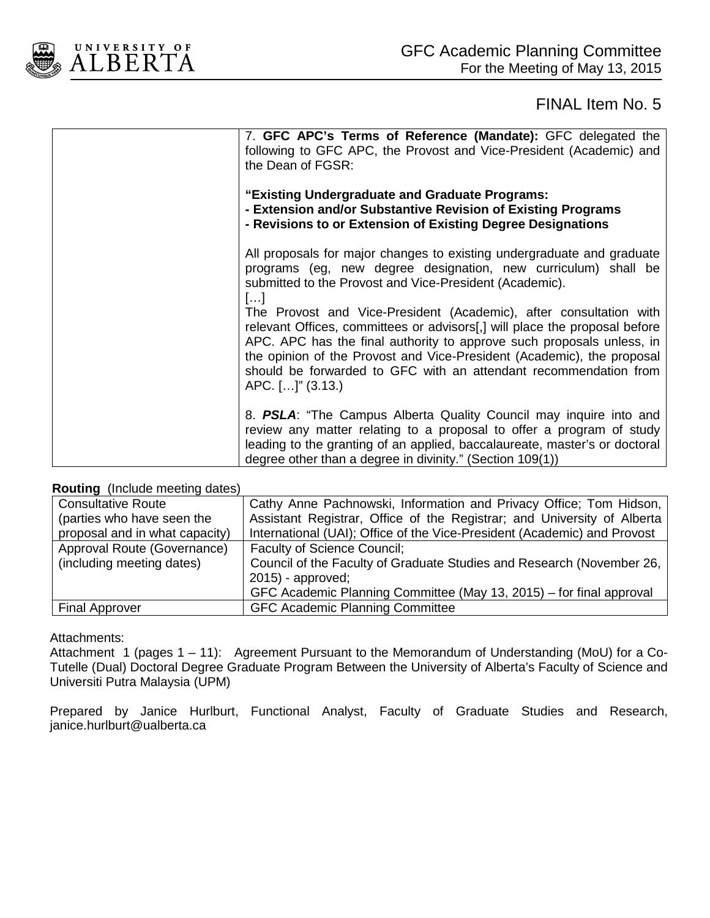

| 7. GFC APC's Terms of Reference (Mandate): GFC delegated the<br>following to GFC APC, the Provost and Vice-President (Academic) and<br>the Dean of FGSR:                                                                                                                                                                                                                                    |
|---------------------------------------------------------------------------------------------------------------------------------------------------------------------------------------------------------------------------------------------------------------------------------------------------------------------------------------------------------------------------------------------|
| "Existing Undergraduate and Graduate Programs:<br>- Extension and/or Substantive Revision of Existing Programs<br>- Revisions to or Extension of Existing Degree Designations                                                                                                                                                                                                               |
| All proposals for major changes to existing undergraduate and graduate<br>programs (eg, new degree designation, new curriculum) shall be<br>submitted to the Provost and Vice-President (Academic).<br>$\left[\ldots\right]$                                                                                                                                                                |
| The Provost and Vice-President (Academic), after consultation with<br>relevant Offices, committees or advisors[,] will place the proposal before<br>APC. APC has the final authority to approve such proposals unless, in<br>the opinion of the Provost and Vice-President (Academic), the proposal<br>should be forwarded to GFC with an attendant recommendation from<br>APC. []" (3.13.) |
| 8. PSLA: "The Campus Alberta Quality Council may inquire into and<br>review any matter relating to a proposal to offer a program of study<br>leading to the granting of an applied, baccalaureate, master's or doctoral<br>degree other than a degree in divinity." (Section 109(1))                                                                                                        |

#### **Routing** (Include meeting dates)

| <b>Consultative Route</b>      | Cathy Anne Pachnowski, Information and Privacy Office; Tom Hidson,       |
|--------------------------------|--------------------------------------------------------------------------|
| (parties who have seen the     | Assistant Registrar, Office of the Registrar; and University of Alberta  |
| proposal and in what capacity) | International (UAI); Office of the Vice-President (Academic) and Provost |
| Approval Route (Governance)    | <b>Faculty of Science Council;</b>                                       |
| (including meeting dates)      | Council of the Faculty of Graduate Studies and Research (November 26,    |
|                                | $2015$ - approved;                                                       |
|                                | GFC Academic Planning Committee (May 13, 2015) – for final approval      |
| <b>Final Approver</b>          | <b>GFC Academic Planning Committee</b>                                   |

#### Attachments:

Attachment 1 (pages 1 – 11): Agreement Pursuant to the Memorandum of Understanding (MoU) for a Co-Tutelle (Dual) Doctoral Degree Graduate Program Between the University of Alberta's Faculty of Science and Universiti Putra Malaysia (UPM)

Prepared by Janice Hurlburt, Functional Analyst, Faculty of Graduate Studies and Research, janice.hurlburt@ualberta.ca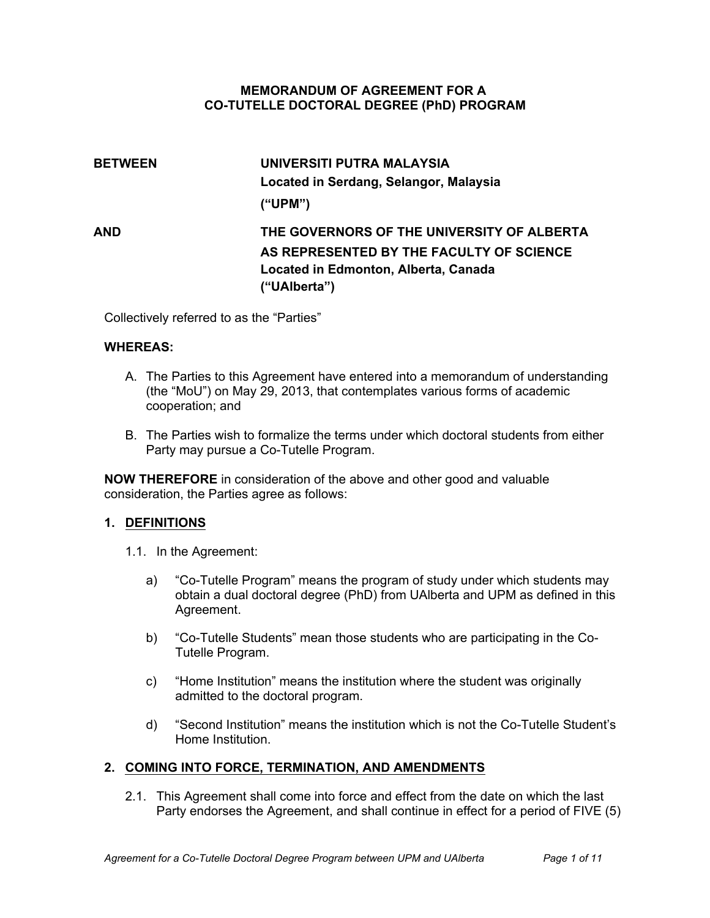#### **MEMORANDUM OF AGREEMENT FOR A COTUTELLE DOCTORAL DEGREE (PhD) PROGRAM**

# **BETWEEN UNIVERSITI PUTRA MALAYSIA Located in Serdang, Selangor, Malaysia ("UPM") AND THE GOVERNORS OF THE UNIVERSITY OF ALBERTA AS REPRESENTED BY THE FACULTY OF SCIENCE Located in Edmonton, Alberta, Canada ("UAlberta")**

Collectively referred to as the "Parties"

#### **WHEREAS:**

- A. The Parties to this Agreement have entered into a memorandum of understanding (the "MoU") on May 29, 2013, that contemplates various forms of academic cooperation; and
- B. The Parties wish to formalize the terms under which doctoral students from either Party may pursue a Co-Tutelle Program.

**NOW THEREFORE** in consideration of the above and other good and valuable consideration, the Parties agree as follows:

#### **1. DEFINITIONS**

- 1.1. In the Agreement:
	- a) "Co-Tutelle Program" means the program of study under which students may obtain a dual doctoral degree (PhD) from UAlberta and UPM as defined in this Agreement.
	- b) "Co-Tutelle Students" mean those students who are participating in the Co-Tutelle Program.
	- c) "Home Institution" means the institution where the student was originally admitted to the doctoral program.
	- d) "Second Institution" means the institution which is not the Co-Tutelle Student's Home Institution.

#### **2. COMING INTO FORCE, TERMINATION, AND AMENDMENTS**

2.1. This Agreement shall come into force and effect from the date on which the last Party endorses the Agreement, and shall continue in effect for a period of FIVE (5)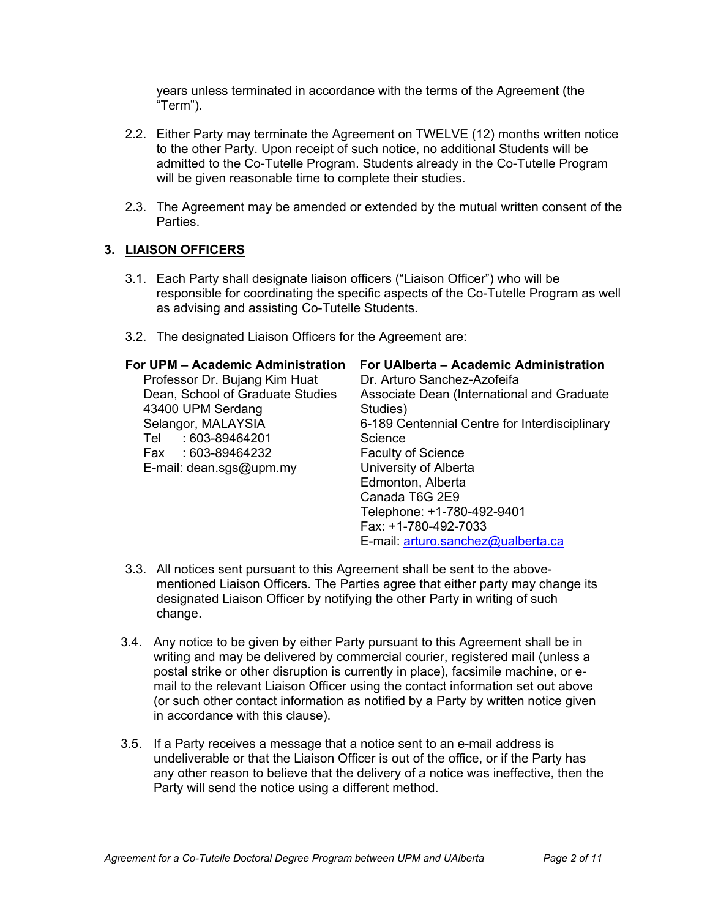years unless terminated in accordance with the terms of the Agreement (the "Term").

- 2.2. Either Party may terminate the Agreement on TWELVE (12) months written notice to the other Party. Upon receipt of such notice, no additional Students will be admitted to the Co-Tutelle Program. Students already in the Co-Tutelle Program will be given reasonable time to complete their studies.
- 2.3. The Agreement may be amended or extended by the mutual written consent of the Parties.

#### **3. LIAISON OFFICERS**

- 3.1. Each Party shall designate liaison officers ("Liaison Officer") who will be responsible for coordinating the specific aspects of the Co-Tutelle Program as well as advising and assisting Co-Tutelle Students.
- 3.2. The designated Liaison Officers for the Agreement are:

| For UPM - Academic Administration<br>Professor Dr. Bujang Kim Huat<br>Dean, School of Graduate Studies | For UAIberta - Academic Administration<br>Dr. Arturo Sanchez-Azofeifa<br>Associate Dean (International and Graduate |
|--------------------------------------------------------------------------------------------------------|---------------------------------------------------------------------------------------------------------------------|
| 43400 UPM Serdang<br>Selangor, MALAYSIA                                                                | Studies)<br>6-189 Centennial Centre for Interdisciplinary                                                           |
| : 603-89464201<br>Tel                                                                                  | Science                                                                                                             |
| Fax: 603-89464232                                                                                      | <b>Faculty of Science</b>                                                                                           |
| E-mail: $dean.sgs@upm.my$                                                                              | University of Alberta                                                                                               |
|                                                                                                        | Edmonton, Alberta                                                                                                   |
|                                                                                                        | Canada T6G 2E9                                                                                                      |
|                                                                                                        | Telephone: +1-780-492-9401                                                                                          |
|                                                                                                        | Fax: +1-780-492-7033                                                                                                |
|                                                                                                        | E-mail: arturo.sanchez@ualberta.ca                                                                                  |
|                                                                                                        |                                                                                                                     |

- 3.3. All notices sent pursuant to this Agreement shall be sent to the abovementioned Liaison Officers. The Parties agree that either party may change its designated Liaison Officer by notifying the other Party in writing of such change.
- 3.4. Any notice to be given by either Party pursuant to this Agreement shall be in writing and may be delivered by commercial courier, registered mail (unless a postal strike or other disruption is currently in place), facsimile machine, or email to the relevant Liaison Officer using the contact information set out above (or such other contact information as notified by a Party by written notice given in accordance with this clause).
- 3.5. If a Party receives a message that a notice sent to an e-mail address is undeliverable or that the Liaison Officer is out of the office, or if the Party has any other reason to believe that the delivery of a notice was ineffective, then the Party will send the notice using a different method.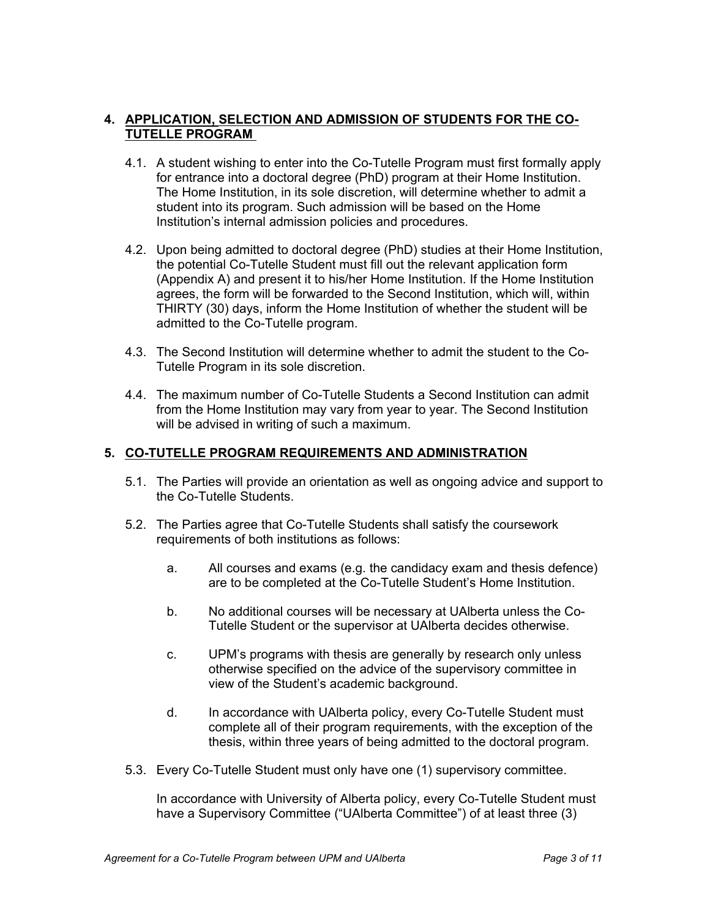#### **4. APPLICATION, SELECTION AND ADMISSION OF STUDENTS FOR THE CO-TUTELLE PROGRAM**

- 4.1. A student wishing to enter into the Co-Tutelle Program must first formally apply for entrance into a doctoral degree (PhD) program at their Home Institution. The Home Institution, in its sole discretion, will determine whether to admit a student into its program. Such admission will be based on the Home Institution's internal admission policies and procedures.
- 4.2. Upon being admitted to doctoral degree (PhD) studies at their Home Institution, the potential Co-Tutelle Student must fill out the relevant application form (Appendix A) and present it to his/her Home Institution. If the Home Institution agrees, the form will be forwarded to the Second Institution, which will, within THIRTY (30) days, inform the Home Institution of whether the student will be admitted to the Co-Tutelle program.
- 4.3. The Second Institution will determine whether to admit the student to the Co-Tutelle Program in its sole discretion.
- 4.4. The maximum number of Co-Tutelle Students a Second Institution can admit from the Home Institution may vary from year to year. The Second Institution will be advised in writing of such a maximum.

#### **5. COTUTELLE PROGRAM REQUIREMENTS AND ADMINISTRATION**

- 5.1. The Parties will provide an orientation as well as ongoing advice and support to the Co-Tutelle Students.
- 5.2. The Parties agree that Co-Tutelle Students shall satisfy the coursework requirements of both institutions as follows:
	- a. All courses and exams (e.g. the candidacy exam and thesis defence) are to be completed at the Co-Tutelle Student's Home Institution.
	- b. No additional courses will be necessary at UAlberta unless the Co-Tutelle Student or the supervisor at UAlberta decides otherwise.
	- c. UPM's programs with thesis are generally by research only unless otherwise specified on the advice of the supervisory committee in view of the Student's academic background.
	- d. In accordance with UAlberta policy, every Co-Tutelle Student must complete all of their program requirements, with the exception of the thesis, within three years of being admitted to the doctoral program.
- 5.3. Every Co-Tutelle Student must only have one (1) supervisory committee.

In accordance with University of Alberta policy, every Co-Tutelle Student must have a Supervisory Committee ("UAlberta Committee") of at least three (3)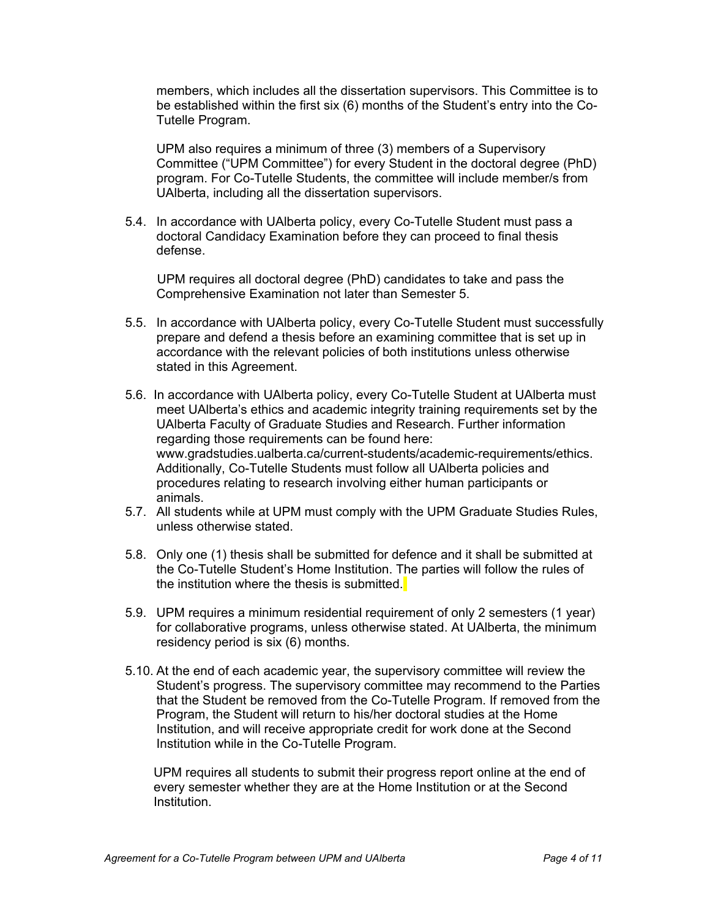members, which includes all the dissertation supervisors. This Committee is to be established within the first six (6) months of the Student's entry into the Co-Tutelle Program.

UPM also requires a minimum of three (3) members of a Supervisory Committee ("UPM Committee") for every Student in the doctoral degree (PhD) program. For Co-Tutelle Students, the committee will include member/s from UAlberta, including all the dissertation supervisors.

5.4. In accordance with UAIberta policy, every Co-Tutelle Student must pass a doctoral Candidacy Examination before they can proceed to final thesis defense.

UPM requires all doctoral degree (PhD) candidates to take and pass the Comprehensive Examination not later than Semester 5.

- 5.5. In accordance with UAIberta policy, every Co-Tutelle Student must successfully prepare and defend a thesis before an examining committee that is set up in accordance with the relevant policies of both institutions unless otherwise stated in this Agreement.
- 5.6. In accordance with UAlberta policy, every Co-Tutelle Student at UAlberta must meet UAlberta's ethics and academic integrity training requirements set by the UAlberta Faculty of Graduate Studies and Research. Further information regarding those requirements can be found here: [www.gradstudies.ualberta.ca/current-students/acad](http://www.gradstudies.ualberta.ca/degreesuperv/ethics/)emic-requirements/ethics. Additionally, Co-Tutelle Students must follow all UAIberta policies and procedures relating to research involving either human participants or animals.
- 5.7. All students while at UPM must comply with the UPM Graduate Studies Rules, unless otherwise stated.
- 5.8. Only one (1) thesis shall be submitted for defence and it shall be submitted at the Co-Tutelle Student's Home Institution. The parties will follow the rules of the institution where the thesis is submitted.
- 5.9. UPM requires a minimum residential requirement of only 2 semesters (1 year) for collaborative programs, unless otherwise stated. At UAlberta, the minimum residency period is six (6) months.
- 5.10. At the end of each academic year, the supervisory committee will review the Student's progress. The supervisory committee may recommend to the Parties that the Student be removed from the Co-Tutelle Program. If removed from the Program, the Student will return to his/her doctoral studies at the Home Institution, and will receive appropriate credit for work done at the Second Institution while in the Co-Tutelle Program.

UPM requires all students to submit their progress report online at the end of every semester whether they are at the Home Institution or at the Second Institution.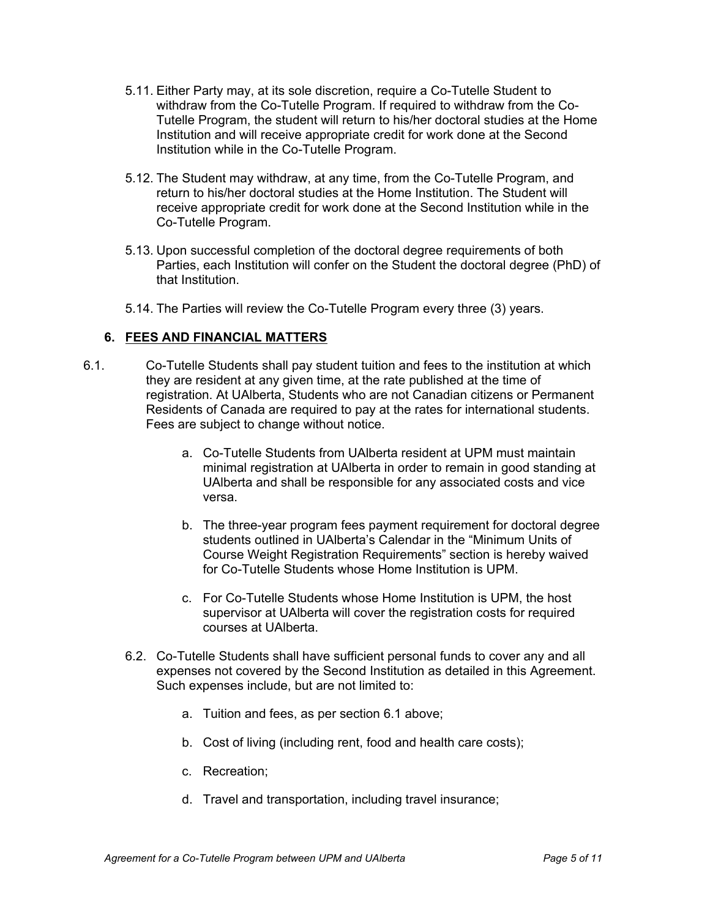- 5.11. Either Party may, at its sole discretion, require a Co-Tutelle Student to withdraw from the Co-Tutelle Program. If required to withdraw from the Co-Tutelle Program, the student will return to his/her doctoral studies at the Home Institution and will receive appropriate credit for work done at the Second Institution while in the Co-Tutelle Program.
- 5.12. The Student may withdraw, at any time, from the Co-Tutelle Program, and return to his/her doctoral studies at the Home Institution. The Student will receive appropriate credit for work done at the Second Institution while in the Co-Tutelle Program.
- 5.13. Upon successful completion of the doctoral degree requirements of both Parties, each Institution will confer on the Student the doctoral degree (PhD) of that Institution.
- 5.14. The Parties will review the CoTutelle Program every three (3) years.

### **6. FEES AND FINANCIAL MATTERS**

- 6.1. CoTutelle Students shall pay student tuition and fees to the institution at which they are resident at any given time, at the rate published at the time of registration. At UAlberta, Students who are not Canadian citizens or Permanent Residents of Canada are required to pay at the rates for international students. Fees are subject to change without notice.
	- a. Co-Tutelle Students from UAIberta resident at UPM must maintain minimal registration at UAlberta in order to remain in good standing at UAlberta and shall be responsible for any associated costs and vice versa.
	- b. The three-year program fees payment requirement for doctoral degree students outlined in UAlberta's Calendar in the "Minimum Units of Course Weight Registration Requirements" section is hereby waived for Co-Tutelle Students whose Home Institution is UPM.
	- c. For Co-Tutelle Students whose Home Institution is UPM, the host supervisor at UAlberta will cover the registration costs for required courses at UAlberta.
	- 6.2. Co-Tutelle Students shall have sufficient personal funds to cover any and all expenses not covered by the Second Institution as detailed in this Agreement. Such expenses include, but are not limited to:
		- a. Tuition and fees, as per section 6.1 above;
		- b. Cost of living (including rent, food and health care costs);
		- c. Recreation;
		- d. Travel and transportation, including travel insurance;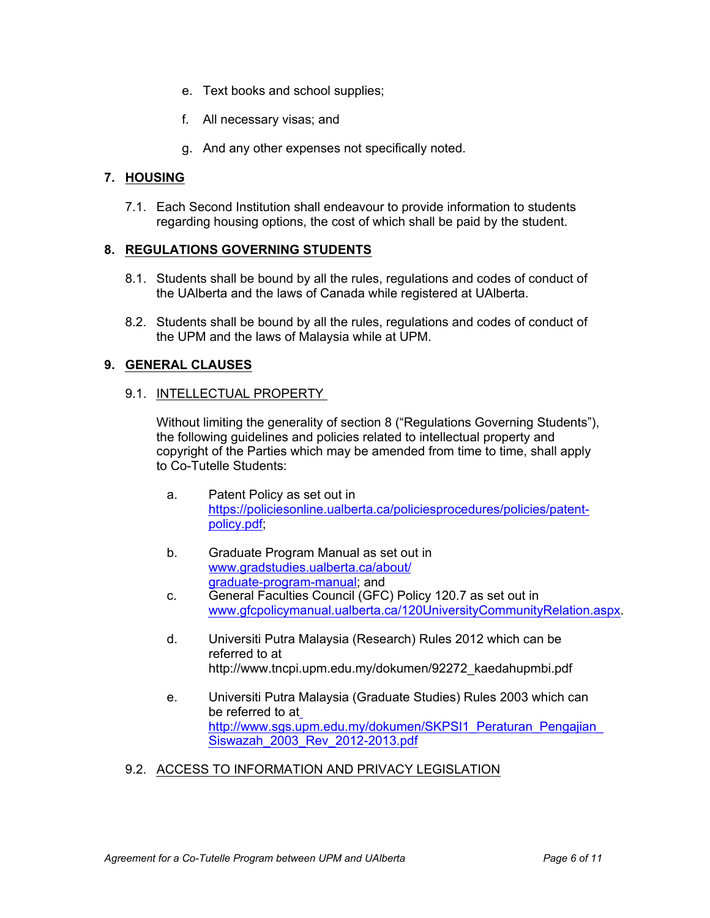- e. Text books and school supplies;<br>f. All necessary visas; and
- 
- e. Text books and school supplies;<br>f. All necessary visas; and<br>g. And any other expenses not specifically noted. e. Text books and school supplies;<br>f. All necessary visas; and<br>g. And any other expenses not specifically noted.

### **7. HOUSING**

7.1. Each Second Institution shall endeavour to provide information to students regarding housing options, the cost of which shall be paid by the student.

#### **8. REGULATIONS GOVERNING STUDENTS**

- 8.1. Students shall be bound by all the rules, regulations and codes of conduct of the UAlberta and the laws of Canada while registered at UAlberta.
- 8.2. Students shall be bound by all the rules, regulations and codes of conduct of the UAI<br>be a Second Institution shall endeavour to provide information to students<br>regarding housing options, the cost of which shall be pa the UPM and the laws of Malaysia while at UPM.

#### **9. GENERAL CLAUSES**

#### 9.1. INTELLECTUAL PROPERTY

Without limiting the generality of section 8 ("Regulations Governing Students"), the following guidelines and policies related to intellectual property and copyright of the Parties which may be amended from time to time, shall apply to Co-Tutelle Students: TrectedToAL PNOPERTT.<br>
Tribout limiting the generality of section 8 ("Regulations Governing Students"),<br>
throut limiting divelines and policies related to intellectual property and<br>
Co-Tutelle Students:<br>
a. Patent Policy

- a. Patent Policy as set out in https://policiesonline.ualberta.ca/policiesprocedures/policies/patentpolicy.pdf; where the Parties which may be amended from time to time, shall apply<br>Co-Tutelle Students:<br>a. Patent Policy as set out in<br>thtps://policiesonline.ualberta.ca/policiesprocedures/policies/patent-<br>policy.pdf;<br>b. Graduate Progr
- b. Graduate Program Manual as set out in www.gradstudies.ualberta.ca/about/
- graduate-program-manual; and<br>General Faculties Council (GFC) Policy 120.7 as set out in
- referred to at http://www.tncpi.upm.edu.my/dokumen/92272\_kaedahupmbi.pdf
- e.The tri-Toncy as set out in<br>
https://policiesonline.ualberta.ca/policiesprocedures/policies/patent-<br>
policy.pdf;<br>
b. Graduate Program Manual as set out in<br>
www.gradstudies.ualberta.ca/about/<br>
graduate-program-manual; an be referred to at http://www.sgs.upm.edu.my/dokumen/SKPSI1\_Peraturan\_Pengajian Siswazah 2003 Rev 2012-2013.pdf
- 9.2. ACCESS TO INFORMATION AND PRIVACY LEGISLATION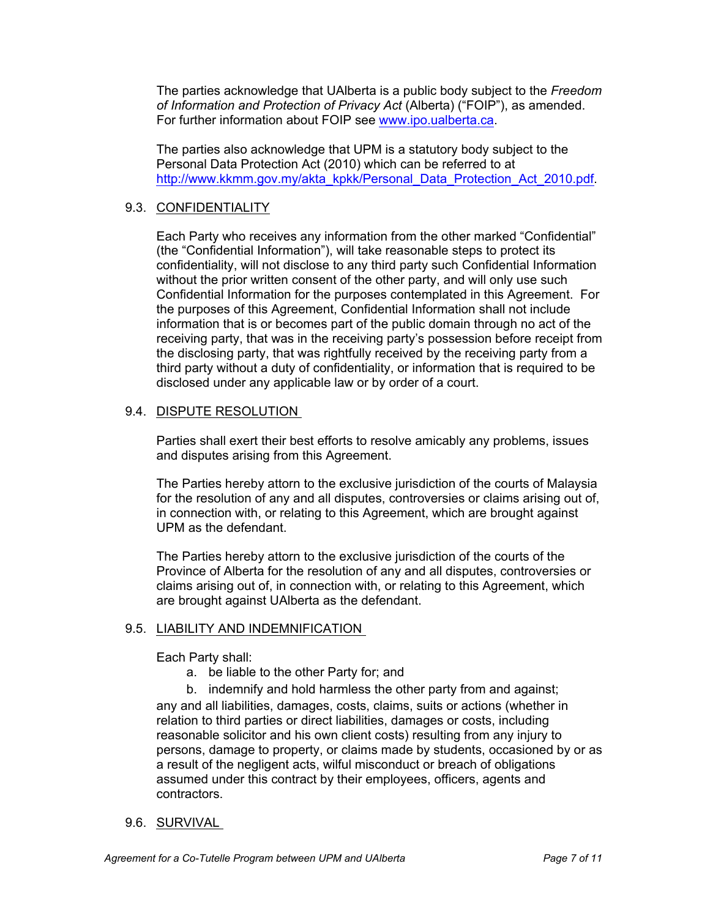The parties acknowledge that UAlberta is a public body subject to the *Freedom of Information and Protection of Privacy Act* (Alberta) ("FOIP"), as amended. For further information about FOIP see [www.ipo.ualberta.ca](http://www.ipo.ualberta.ca).

The parties also acknowledge that UPM is a statutory body subject to the Personal Data Protection Act (2010) which can be referred to at [http://www.kkmm.gov.my/akta\\_kpkk/Personal\\_Data\\_Protection\\_Act\\_2010.pdf](http://www.kkmm.gov.my/akta_kpkk/Personal_Data_Protection_Act_2010.pdf).

### 9.3. CONFIDENTIALITY

Each Party who receives any information from the other marked "Confidential" (the "Confidential Information"), will take reasonable steps to protect its confidentiality, will not disclose to any third party such Confidential Information without the prior written consent of the other party, and will only use such Confidential Information for the purposes contemplated in this Agreement. For the purposes of this Agreement, Confidential Information shall not include information that is or becomes part of the public domain through no act of the receiving party, that was in the receiving party's possession before receipt from the disclosing party, that was rightfully received by the receiving party from a third party without a duty of confidentiality, or information that is required to be disclosed under any applicable law or by order of a court.

### 9.4. DISPUTE RESOLUTION

Parties shall exert their best efforts to resolve amicably any problems, issues and disputes arising from this Agreement.

The Parties hereby attorn to the exclusive jurisdiction of the courts of Malaysia for the resolution of any and all disputes, controversies or claims arising out of, in connection with, or relating to this Agreement, which are brought against UPM as the defendant.

The Parties hereby attorn to the exclusive jurisdiction of the courts of the Province of Alberta for the resolution of any and all disputes, controversies or claims arising out of, in connection with, or relating to this Agreement, which are brought against UAlberta as the defendant.

#### 9.5. LIABILITY AND INDEMNIFICATION

Each Party shall:

a. be liable to the other Party for; and

b. indemnify and hold harmless the other party from and against; any and all liabilities, damages, costs, claims, suits or actions (whether in relation to third parties or direct liabilities, damages or costs, including reasonable solicitor and his own client costs) resulting from any injury to persons, damage to property, or claims made by students, occasioned by or as a result of the negligent acts, wilful misconduct or breach of obligations assumed under this contract by their employees, officers, agents and contractors.

#### 9.6. SURVIVAL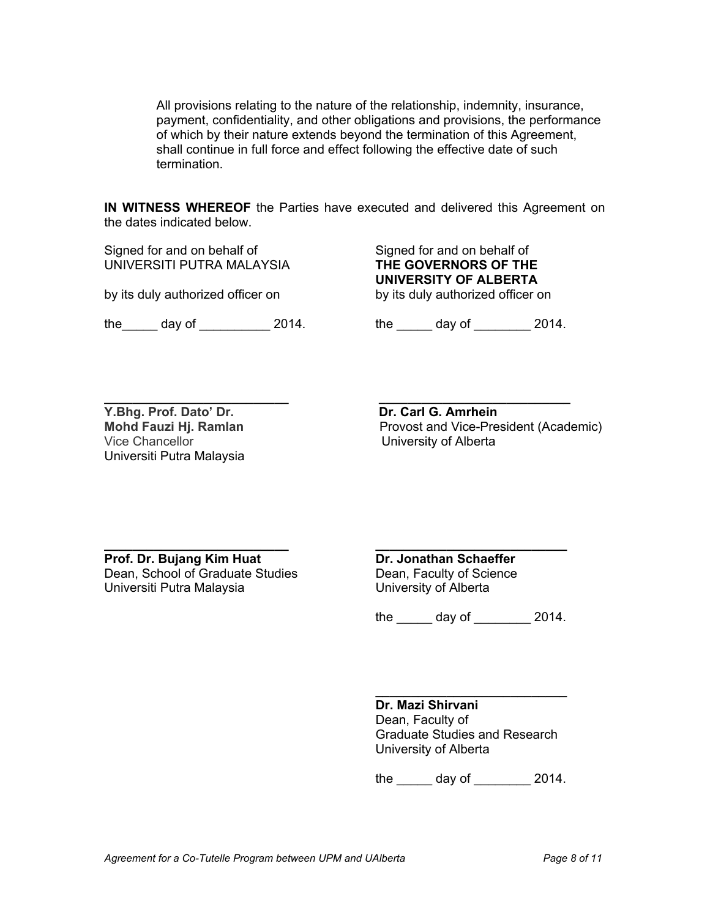All provisions relating to the nature of the relationship, indemnity, insurance, payment, confidentiality, and other obligations and provisions, the performance of which by their nature extends beyond the termination of this Agreement, shall continue in full force and effect following the effective date of such termination.

**IN WITNESS WHEREOF** the Parties have executed and delivered this Agreement on the dates indicated below.

Signed for and on behalf of Signed for and on behalf of UNIVERSITI PUTRA MALAYSIA **THE GOVERNORS OF THE** 

by its duly authorized officer on **by its duly authorized officer on** 

**UNIVERSITY OF ALBERTA**

the \_\_\_\_\_ day of \_\_\_\_\_\_\_\_\_\_ 2014. the \_\_\_\_\_ day of \_\_\_\_\_\_\_ 2014.

**Y.Bhg. Prof. Dato' Dr. Dr. Carl G. Amrhein** Vice Chancellor **Vice Chancellor University of Alberta** Universiti Putra Malaysia

**\_\_\_\_\_\_\_\_\_\_\_\_\_\_\_\_\_\_\_\_\_\_\_\_\_\_ \_\_\_\_\_\_\_\_\_\_\_\_\_\_\_\_\_\_\_\_\_\_\_\_\_\_\_ Mohd Fauzi Hj. Ramlan** Provost and VicePresident (Academic)

**Prof. Dr. Bujang Kim Huat Dr. Jonathan Schaeffer** Dean, School of Graduate Studies Dean, Faculty of Science Universiti Putra Malaysia **University of Alberta** 

**\_\_\_\_\_\_\_\_\_\_\_\_\_\_\_\_\_\_\_\_\_\_\_\_\_\_ \_\_\_\_\_\_\_\_\_\_\_\_\_\_\_\_\_\_\_\_\_\_\_\_\_\_\_**

the \_\_\_\_\_ day of \_\_\_\_\_\_\_\_ 2014.

**\_\_\_\_\_\_\_\_\_\_\_\_\_\_\_\_\_\_\_\_\_\_\_\_\_\_\_ Dr. Mazi Shirvani** Dean, Faculty of Graduate Studies and Research University of Alberta

the  $day of$  2014.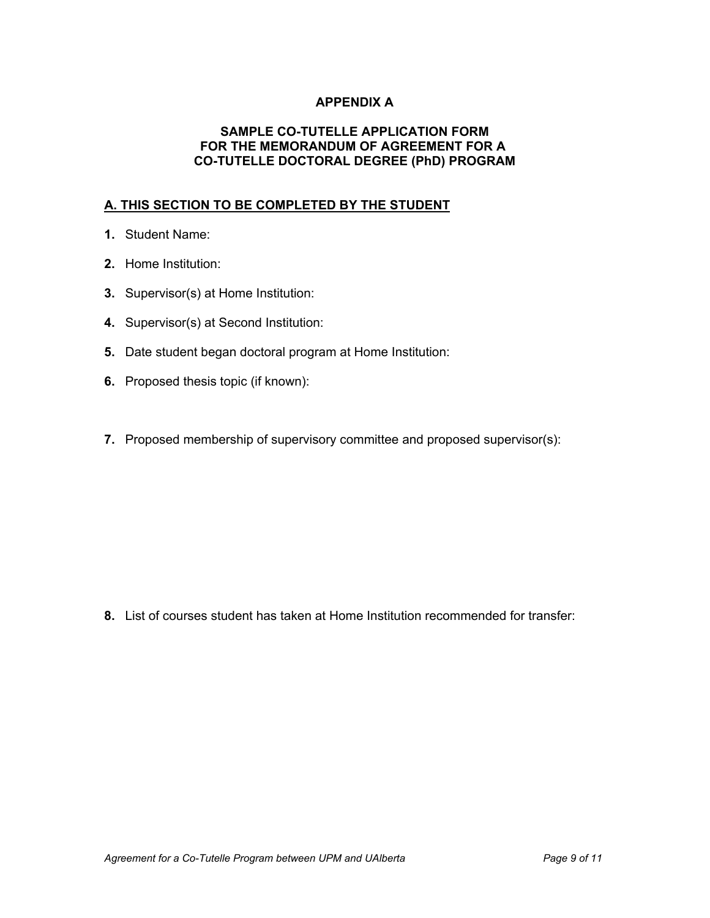### **APPENDIX A**

#### **SAMPLE CO-TUTELLE APPLICATION FORM FOR THE MEMORANDUM OF AGREEMENT FOR A COTUTELLE DOCTORAL DEGREE (PhD) PROGRAM**

### **A. THIS SECTION TO BE COMPLETED BY THE STUDENT**

- **1.** Student Name:
- **2.** Home Institution:
- **3.** Supervisor(s) at Home Institution:
- **4.** Supervisor(s) at Second Institution:
- **5.** Date student began doctoral program at Home Institution:
- **6.** Proposed thesis topic (if known):
- **7.** Proposed membership of supervisory committee and proposed supervisor(s):

**8.** List of courses student has taken at Home Institution recommended for transfer: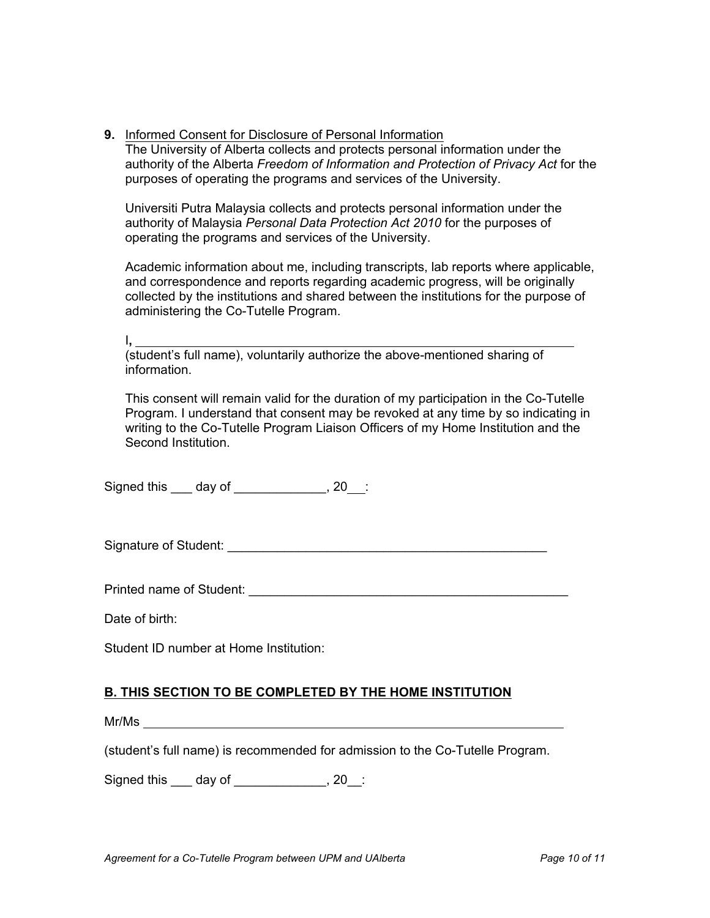**9.** Informed Consent for Disclosure of Personal Information The University of Alberta collects and protects personal information under the authority of the Alberta *Freedom of Information and Protection of Privacy Act* for the purposes of operating the programs and services of the University.

Universiti Putra Malaysia collects and protects personal information under the authority of Malaysia *Personal Data Protection Act 2010* for the purposes of operating the programs and services of the University.

Academic information about me, including transcripts, lab reports where applicable, and correspondence and reports regarding academic progress, will be originally collected by the institutions and shared between the institutions for the purpose of administering the Co-Tutelle Program.

I**,**

<sup>1</sup>/<sub>S</sub> interaction of the above-mentioned sharing of student's full name), voluntarily authorize the above-mentioned sharing of information.

This consent will remain valid for the duration of my participation in the Co-Tutelle Program. I understand that consent may be revoked at any time by so indicating in writing to the Co-Tutelle Program Liaison Officers of my Home Institution and the Second Institution.

Signed this \_\_\_ day of \_\_\_\_\_\_\_\_\_\_\_\_, 20\_\_:

Signature of Student: \_\_\_\_\_\_\_\_\_\_\_\_\_\_\_\_\_\_\_\_\_\_\_\_\_\_\_\_\_\_\_\_\_\_\_\_\_\_\_\_\_\_\_\_\_

Printed name of Student: \_\_\_\_\_\_\_\_\_\_\_\_\_\_\_\_\_\_\_\_\_\_\_\_\_\_\_\_\_\_\_\_\_\_\_\_\_\_\_\_\_\_\_\_\_

Date of birth:

Student ID number at Home Institution:

## **B. THIS SECTION TO BE COMPLETED BY THE HOME INSTITUTION**

Mr/Ms

(student's full name) is recommended for admission to the Co-Tutelle Program.

Signed this day of the set of the set of the set of the set of the set of the set of the set of the set of the s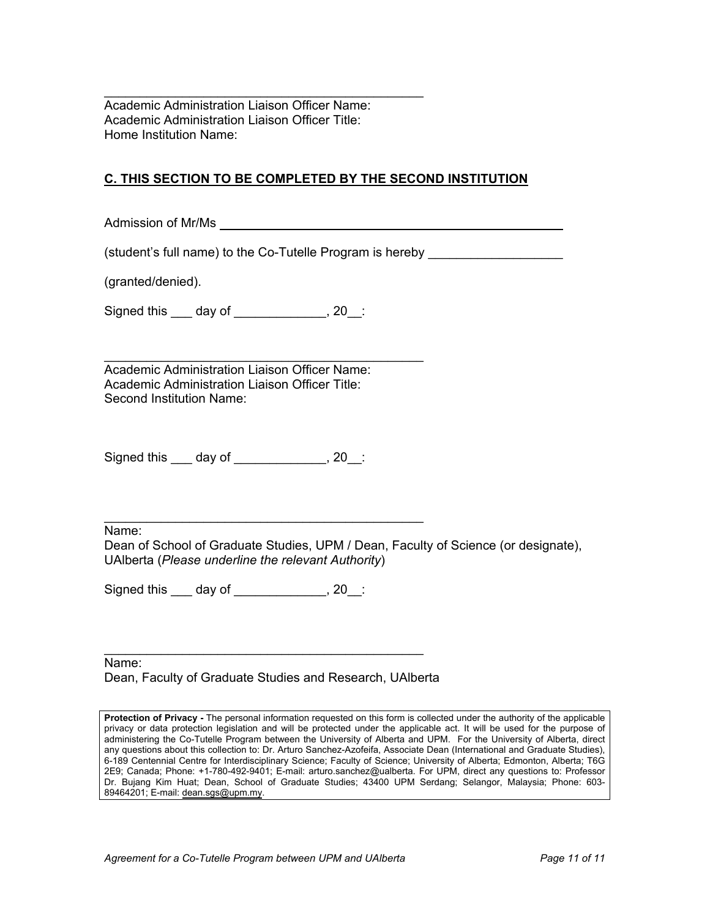$\frac{1}{2}$  ,  $\frac{1}{2}$  ,  $\frac{1}{2}$  ,  $\frac{1}{2}$  ,  $\frac{1}{2}$  ,  $\frac{1}{2}$  ,  $\frac{1}{2}$  ,  $\frac{1}{2}$  ,  $\frac{1}{2}$  ,  $\frac{1}{2}$  ,  $\frac{1}{2}$  ,  $\frac{1}{2}$  ,  $\frac{1}{2}$  ,  $\frac{1}{2}$  ,  $\frac{1}{2}$  ,  $\frac{1}{2}$  ,  $\frac{1}{2}$  ,  $\frac{1}{2}$  ,  $\frac{1$ Academic Administration Liaison Officer Name: Academic Administration Liaison Officer Title: Home Institution Name:

## **C. THIS SECTION TO BE COMPLETED BY THE SECOND INSTITUTION**

Admission of Mr/Ms

(student's full name) to the Co-Tutelle Program is hereby

(granted/denied).

Signed this \_\_\_ day of \_\_\_\_\_\_\_\_\_\_\_\_\_, 20\_\_:

 $\frac{1}{2}$  ,  $\frac{1}{2}$  ,  $\frac{1}{2}$  ,  $\frac{1}{2}$  ,  $\frac{1}{2}$  ,  $\frac{1}{2}$  ,  $\frac{1}{2}$  ,  $\frac{1}{2}$  ,  $\frac{1}{2}$  ,  $\frac{1}{2}$  ,  $\frac{1}{2}$  ,  $\frac{1}{2}$  ,  $\frac{1}{2}$  ,  $\frac{1}{2}$  ,  $\frac{1}{2}$  ,  $\frac{1}{2}$  ,  $\frac{1}{2}$  ,  $\frac{1}{2}$  ,  $\frac{1$ Academic Administration Liaison Officer Name: Academic Administration Liaison Officer Title: Second Institution Name:

Signed this \_\_\_ day of \_\_\_\_\_\_\_\_\_\_\_\_\_, 20\_\_:

Name:

Dean of School of Graduate Studies, UPM / Dean, Faculty of Science (or designate), UAlberta (*Please underline the relevant Authority*)

 $\frac{1}{2}$  ,  $\frac{1}{2}$  ,  $\frac{1}{2}$  ,  $\frac{1}{2}$  ,  $\frac{1}{2}$  ,  $\frac{1}{2}$  ,  $\frac{1}{2}$  ,  $\frac{1}{2}$  ,  $\frac{1}{2}$  ,  $\frac{1}{2}$  ,  $\frac{1}{2}$  ,  $\frac{1}{2}$  ,  $\frac{1}{2}$  ,  $\frac{1}{2}$  ,  $\frac{1}{2}$  ,  $\frac{1}{2}$  ,  $\frac{1}{2}$  ,  $\frac{1}{2}$  ,  $\frac{1$ 

 $\frac{1}{2}$  ,  $\frac{1}{2}$  ,  $\frac{1}{2}$  ,  $\frac{1}{2}$  ,  $\frac{1}{2}$  ,  $\frac{1}{2}$  ,  $\frac{1}{2}$  ,  $\frac{1}{2}$  ,  $\frac{1}{2}$  ,  $\frac{1}{2}$  ,  $\frac{1}{2}$  ,  $\frac{1}{2}$  ,  $\frac{1}{2}$  ,  $\frac{1}{2}$  ,  $\frac{1}{2}$  ,  $\frac{1}{2}$  ,  $\frac{1}{2}$  ,  $\frac{1}{2}$  ,  $\frac{1$ 

Signed this \_\_\_ day of \_\_\_\_\_\_\_\_\_\_\_\_, 20\_:

Name: Dean, Faculty of Graduate Studies and Research, UAlberta

Protection of Privacy - The personal information requested on this form is collected under the authority of the applicable privacy or data protection legislation and will be protected under the applicable act. It will be used for the purpose of administering the CoTutelle Program between the University of Alberta and UPM. For the University of Alberta, direct any questions about this collection to: Dr. Arturo Sanchez-Azofeifa, Associate Dean (International and Graduate Studies), 6-189 Centennial Centre for Interdisciplinary Science; Faculty of Science; University of Alberta; Edmonton, Alberta; T6G 2E9; Canada; Phone: +17804929401; Email: arturo.sanchez@ualberta. For UPM, direct any questions to: Professor Dr. Bujang Kim Huat; Dean, School of Graduate Studies; 43400 UPM Serdang; Selangor, Malaysia; Phone: 603 89464201; E-mail: [dean.sgs@upm.my](mailto:dean.sgs@upm.my).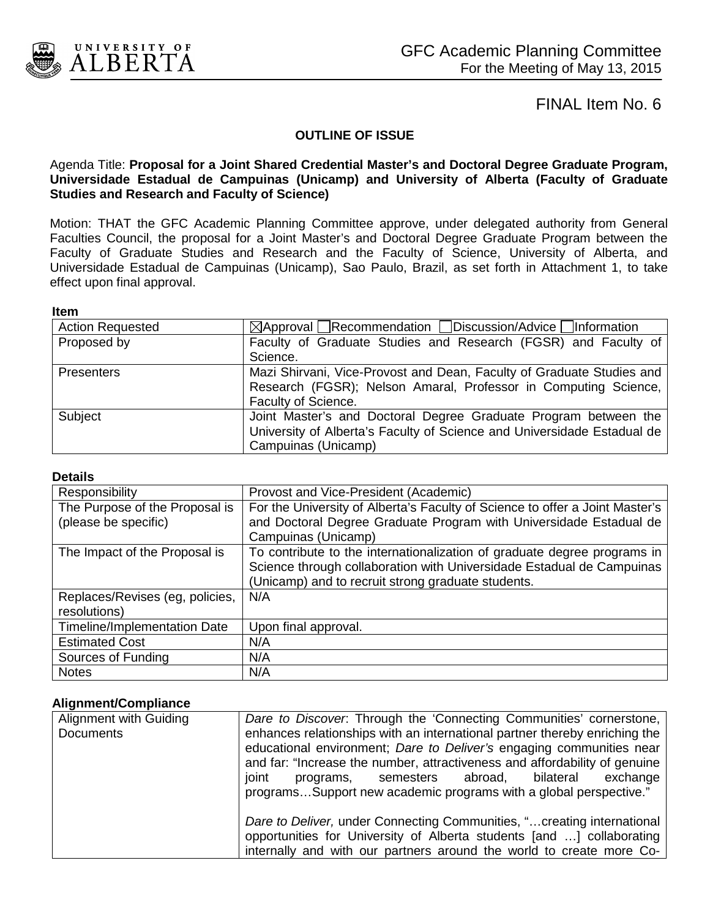

#### **OUTLINE OF ISSUE**

#### Agenda Title: **Proposal for a Joint Shared Credential Master's and Doctoral Degree Graduate Program, Universidade Estadual de Campuinas (Unicamp) and University of Alberta (Faculty of Graduate Studies and Research and Faculty of Science)**

Motion: THAT the GFC Academic Planning Committee approve, under delegated authority from General Faculties Council, the proposal for a Joint Master's and Doctoral Degree Graduate Program between the Faculty of Graduate Studies and Research and the Faculty of Science, University of Alberta, and Universidade Estadual de Campuinas (Unicamp), Sao Paulo, Brazil, as set forth in Attachment 1, to take effect upon final approval.

#### **Item**

| <b>Action Requested</b>                                         | $\boxtimes$ Approval Recommendation Discussion/Advice Information       |  |  |
|-----------------------------------------------------------------|-------------------------------------------------------------------------|--|--|
| Proposed by                                                     | Faculty of Graduate Studies and Research (FGSR) and Faculty of          |  |  |
|                                                                 | Science.                                                                |  |  |
| <b>Presenters</b>                                               | Mazi Shirvani, Vice-Provost and Dean, Faculty of Graduate Studies and   |  |  |
| Research (FGSR); Nelson Amaral, Professor in Computing Science, |                                                                         |  |  |
|                                                                 | Faculty of Science.                                                     |  |  |
| Subject                                                         | Joint Master's and Doctoral Degree Graduate Program between the         |  |  |
|                                                                 | University of Alberta's Faculty of Science and Universidade Estadual de |  |  |
|                                                                 | Campuinas (Unicamp)                                                     |  |  |

#### **Details**

| Responsibility                      | Provost and Vice-President (Academic)                                        |
|-------------------------------------|------------------------------------------------------------------------------|
| The Purpose of the Proposal is      | For the University of Alberta's Faculty of Science to offer a Joint Master's |
| (please be specific)                | and Doctoral Degree Graduate Program with Universidade Estadual de           |
|                                     | Campuinas (Unicamp)                                                          |
| The Impact of the Proposal is       | To contribute to the internationalization of graduate degree programs in     |
|                                     | Science through collaboration with Universidade Estadual de Campuinas        |
|                                     | (Unicamp) and to recruit strong graduate students.                           |
| Replaces/Revises (eg, policies,     | N/A                                                                          |
| resolutions)                        |                                                                              |
| <b>Timeline/Implementation Date</b> | Upon final approval.                                                         |
| <b>Estimated Cost</b>               | N/A                                                                          |
| Sources of Funding                  | N/A                                                                          |
| <b>Notes</b>                        | N/A                                                                          |

#### **Alignment/Compliance**

| Alignment with Guiding | Dare to Discover. Through the 'Connecting Communities' cornerstone,                                                                                                                                                                                                                            |
|------------------------|------------------------------------------------------------------------------------------------------------------------------------------------------------------------------------------------------------------------------------------------------------------------------------------------|
| <b>Documents</b>       | enhances relationships with an international partner thereby enriching the<br>educational environment; Dare to Deliver's engaging communities near<br>and far: "Increase the number, attractiveness and affordability of genuine<br>joint<br>programs, semesters abroad, bilateral<br>exchange |
|                        | programsSupport new academic programs with a global perspective."                                                                                                                                                                                                                              |
|                        | Dare to Deliver, under Connecting Communities, " creating international<br>opportunities for University of Alberta students [and ] collaborating                                                                                                                                               |
|                        | internally and with our partners around the world to create more Co-                                                                                                                                                                                                                           |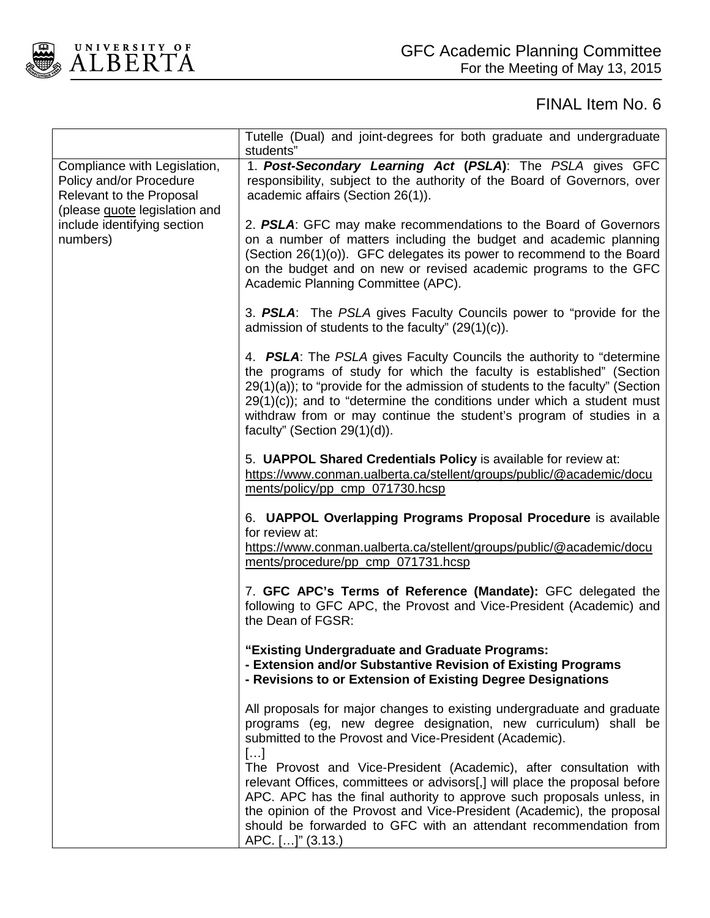

|                                                                                                                             | Tutelle (Dual) and joint-degrees for both graduate and undergraduate<br>students"                                                                                                                                                                                                                                                                                                                                    |
|-----------------------------------------------------------------------------------------------------------------------------|----------------------------------------------------------------------------------------------------------------------------------------------------------------------------------------------------------------------------------------------------------------------------------------------------------------------------------------------------------------------------------------------------------------------|
| Compliance with Legislation,<br>Policy and/or Procedure<br><b>Relevant to the Proposal</b><br>(please quote legislation and | 1. Post-Secondary Learning Act (PSLA): The PSLA gives GFC<br>responsibility, subject to the authority of the Board of Governors, over<br>academic affairs (Section 26(1)).                                                                                                                                                                                                                                           |
| include identifying section<br>numbers)                                                                                     | 2. PSLA: GFC may make recommendations to the Board of Governors<br>on a number of matters including the budget and academic planning<br>(Section 26(1)(o)). GFC delegates its power to recommend to the Board<br>on the budget and on new or revised academic programs to the GFC<br>Academic Planning Committee (APC).                                                                                              |
|                                                                                                                             | 3. PSLA: The PSLA gives Faculty Councils power to "provide for the<br>admission of students to the faculty" $(29(1)(c))$ .                                                                                                                                                                                                                                                                                           |
|                                                                                                                             | 4. PSLA: The PSLA gives Faculty Councils the authority to "determine"<br>the programs of study for which the faculty is established" (Section<br>29(1)(a)); to "provide for the admission of students to the faculty" (Section<br>$29(1)(c)$ ; and to "determine the conditions under which a student must<br>withdraw from or may continue the student's program of studies in a<br>faculty" (Section $29(1)(d)$ ). |
|                                                                                                                             | 5. UAPPOL Shared Credentials Policy is available for review at:<br>https://www.conman.ualberta.ca/stellent/groups/public/@academic/docu<br>ments/policy/pp_cmp_071730.hcsp                                                                                                                                                                                                                                           |
|                                                                                                                             | 6. UAPPOL Overlapping Programs Proposal Procedure is available<br>for review at:<br>https://www.conman.ualberta.ca/stellent/groups/public/@academic/docu<br>ments/procedure/pp_cmp_071731.hcsp                                                                                                                                                                                                                       |
|                                                                                                                             | 7. GFC APC's Terms of Reference (Mandate): GFC delegated the<br>following to GFC APC, the Provost and Vice-President (Academic) and<br>the Dean of FGSR:                                                                                                                                                                                                                                                             |
|                                                                                                                             | "Existing Undergraduate and Graduate Programs:<br>- Extension and/or Substantive Revision of Existing Programs<br>- Revisions to or Extension of Existing Degree Designations                                                                                                                                                                                                                                        |
|                                                                                                                             | All proposals for major changes to existing undergraduate and graduate<br>programs (eg, new degree designation, new curriculum) shall be<br>submitted to the Provost and Vice-President (Academic).<br>[]                                                                                                                                                                                                            |
|                                                                                                                             | The Provost and Vice-President (Academic), after consultation with<br>relevant Offices, committees or advisors[,] will place the proposal before<br>APC. APC has the final authority to approve such proposals unless, in<br>the opinion of the Provost and Vice-President (Academic), the proposal<br>should be forwarded to GFC with an attendant recommendation from<br>APC. []" (3.13.)                          |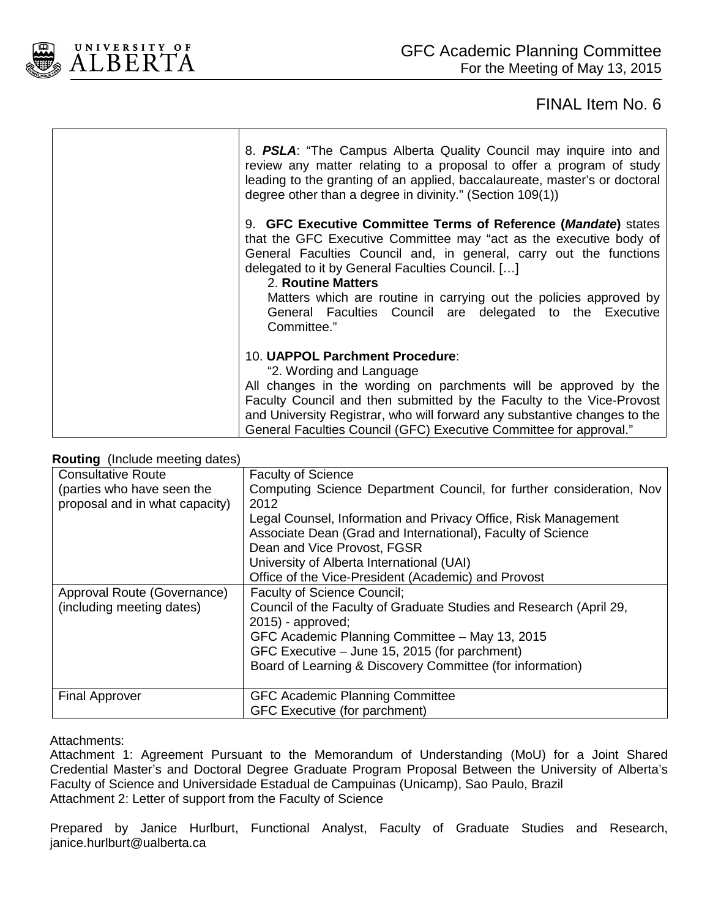

| 8. PSLA: "The Campus Alberta Quality Council may inquire into and<br>review any matter relating to a proposal to offer a program of study<br>leading to the granting of an applied, baccalaureate, master's or doctoral<br>degree other than a degree in divinity." (Section 109(1))                                                                                                                                                  |
|---------------------------------------------------------------------------------------------------------------------------------------------------------------------------------------------------------------------------------------------------------------------------------------------------------------------------------------------------------------------------------------------------------------------------------------|
| 9. GFC Executive Committee Terms of Reference (Mandate) states<br>that the GFC Executive Committee may "act as the executive body of<br>General Faculties Council and, in general, carry out the functions<br>delegated to it by General Faculties Council. []<br>2. Routine Matters<br>Matters which are routine in carrying out the policies approved by<br>General Faculties Council are delegated to the Executive<br>Committee." |
| 10. UAPPOL Parchment Procedure:<br>"2. Wording and Language<br>All changes in the wording on parchments will be approved by the<br>Faculty Council and then submitted by the Faculty to the Vice-Provost<br>and University Registrar, who will forward any substantive changes to the<br>General Faculties Council (GFC) Executive Committee for approval."                                                                           |

#### **Routing** (Include meeting dates)

| <b>Nouting</b> (include inceding dates) |                                                                      |
|-----------------------------------------|----------------------------------------------------------------------|
| <b>Consultative Route</b>               | <b>Faculty of Science</b>                                            |
| (parties who have seen the              | Computing Science Department Council, for further consideration, Nov |
| proposal and in what capacity)          | 2012                                                                 |
|                                         | Legal Counsel, Information and Privacy Office, Risk Management       |
|                                         | Associate Dean (Grad and International), Faculty of Science          |
|                                         | Dean and Vice Provost, FGSR                                          |
|                                         | University of Alberta International (UAI)                            |
|                                         | Office of the Vice-President (Academic) and Provost                  |
| Approval Route (Governance)             | <b>Faculty of Science Council;</b>                                   |
| (including meeting dates)               | Council of the Faculty of Graduate Studies and Research (April 29,   |
|                                         | $2015$ - approved;                                                   |
|                                         | GFC Academic Planning Committee - May 13, 2015                       |
|                                         | GFC Executive – June 15, 2015 (for parchment)                        |
|                                         | Board of Learning & Discovery Committee (for information)            |
|                                         |                                                                      |
| <b>Final Approver</b>                   | <b>GFC Academic Planning Committee</b>                               |
|                                         | GFC Executive (for parchment)                                        |

#### Attachments:

Attachment 1: Agreement Pursuant to the Memorandum of Understanding (MoU) for a Joint Shared Credential Master's and Doctoral Degree Graduate Program Proposal Between the University of Alberta's Faculty of Science and Universidade Estadual de Campuinas (Unicamp), Sao Paulo, Brazil Attachment 2: Letter of support from the Faculty of Science

Prepared by Janice Hurlburt, Functional Analyst, Faculty of Graduate Studies and Research, janice.hurlburt@ualberta.ca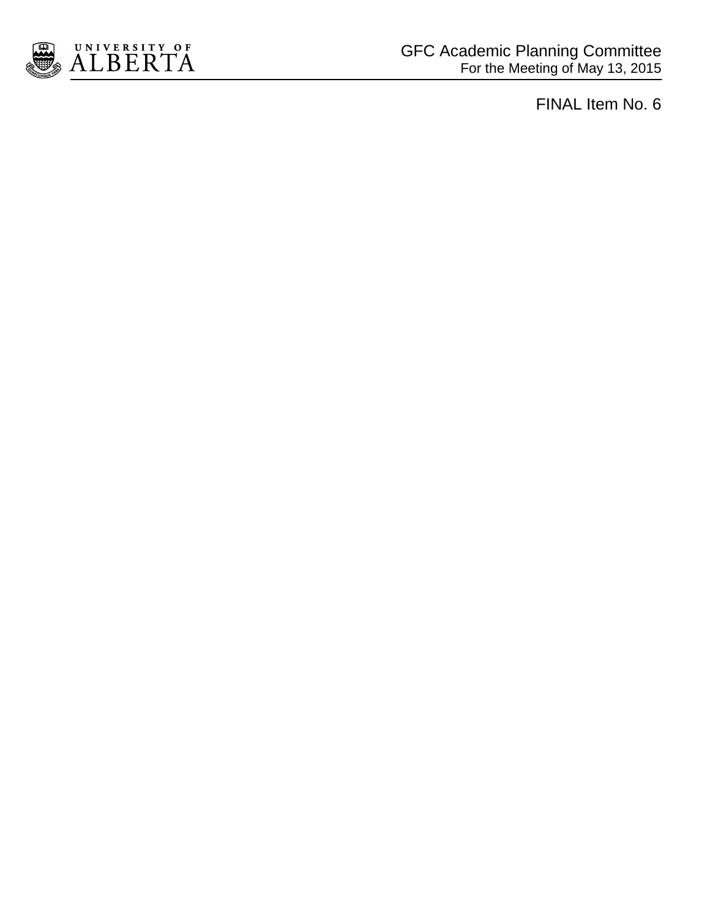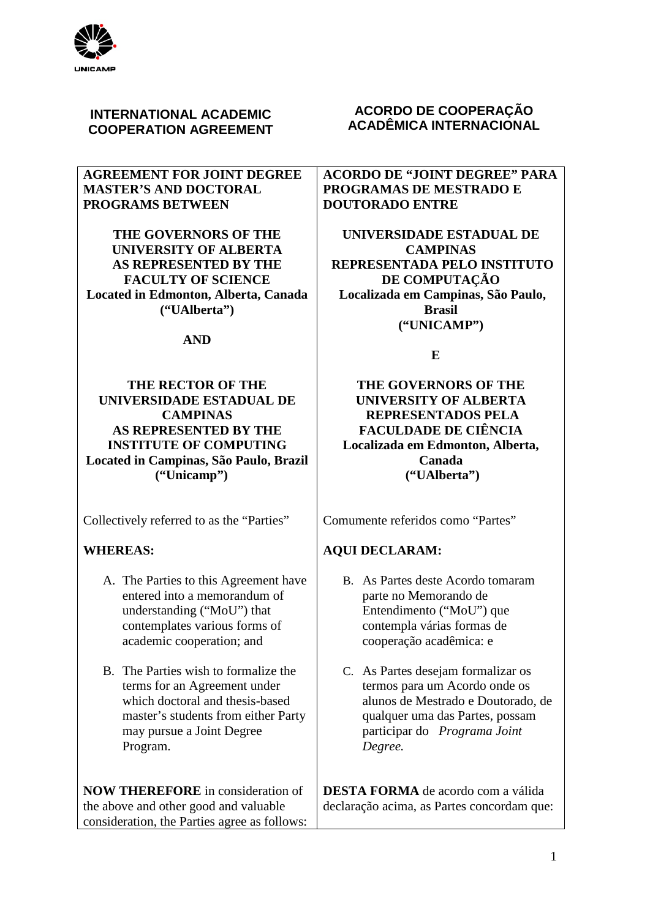

## **INTERNATIONAL ACADEMIC COOPERATION AGREEMENT**

### **AGREEMENT FOR JOINT DEGREE MASTER'S AND DOCTORAL PROGRAMS BETWEEN**

**THE GOVERNORS OF THE UNIVERSITY OF ALBERTA AS REPRESENTED BY THE FACULTY OF SCIENCE Located in Edmonton, Alberta, Canada ("UAlberta")**

### **AND**

## **THE RECTOR OF THE UNIVERSIDADE ESTADUAL DE CAMPINAS AS REPRESENTED BY THE INSTITUTE OF COMPUTING Located in Campinas, São Paulo, Brazil ("Unicamp")**

Collectively referred to as the "Parties"

## **WHEREAS:**

- A. The Parties to this Agreement have entered into a memorandum of understanding ("MoU") that contemplates various forms of academic cooperation; and
- B. The Parties wish to formalize the terms for an Agreement under which doctoral and thesis-based master's students from either Party may pursue a Joint Degree Program.

**NOW THEREFORE** in consideration of the above and other good and valuable consideration, the Parties agree as follows:

## **ACORDO DE COOPERAÇÃO ACADÊMICA INTERNACIONAL**

**ACORDO DE "JOINT DEGREE" PARA PROGRAMAS DE MESTRADO E DOUTORADO ENTRE**

**UNIVERSIDADE ESTADUAL DE CAMPINAS REPRESENTADA PELO INSTITUTO DE COMPUTAÇÃO Localizada em Campinas, São Paulo, Brasil ("UNICAMP")**

**E**

**THE GOVERNORS OF THE UNIVERSITY OF ALBERTA REPRESENTADOS PELA FACULDADE DE CIÊNCIA Localizada em Edmonton, Alberta, Canada ("UAlberta")**

Comumente referidos como "Partes"

## **AQUI DECLARAM:**

- B. As Partes deste Acordo tomaram parte no Memorando de Entendimento ("MoU") que contempla várias formas de cooperação acadêmica: e
- C. As Partes desejam formalizar os termos para um Acordo onde os alunos de Mestrado e Doutorado, de qualquer uma das Partes, possam participar do *Programa Joint Degree.*

**DESTA FORMA** de acordo com a válida declaração acima, as Partes concordam que: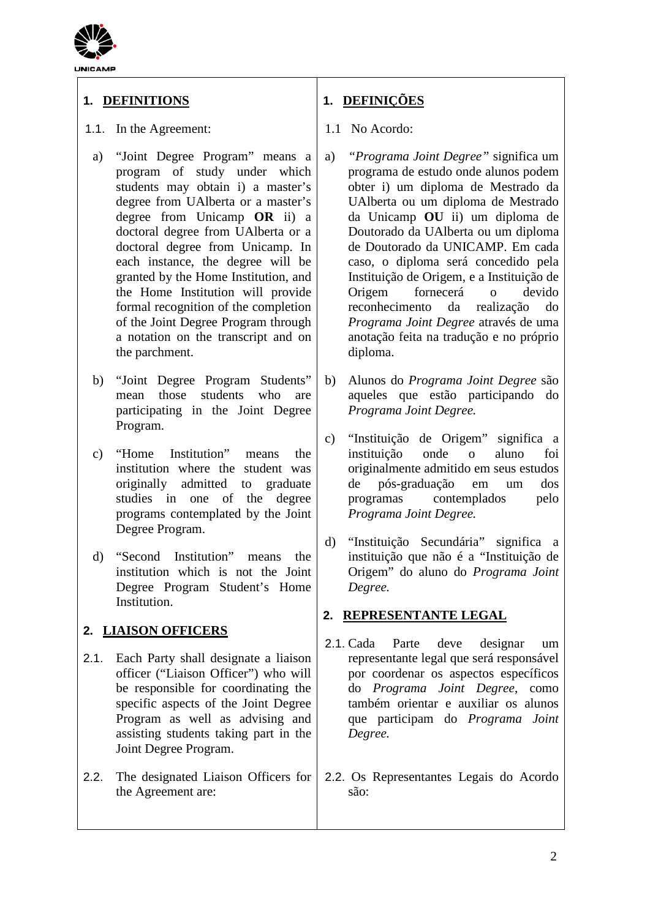

# **1. DEFINITIONS**

## 1.1. In the Agreement:

- a) "Joint Degree Program" means a program of study under which students may obtain i) a master's degree from UAlberta or a master's degree from Unicamp **OR** ii) a doctoral degree from UAlberta or a doctoral degree from Unicamp. In each instance, the degree will be granted by the Home Institution, and the Home Institution will provide formal recognition of the completion of the Joint Degree Program through a notation on the transcript and on the parchment.
- b) "Joint Degree Program Students" mean those students who are participating in the Joint Degree Program.
- c) "Home Institution" means the institution where the student was originally admitted to graduate studies in one of the degree programs contemplated by the Joint Degree Program.
- d) "Second Institution" means the institution which is not the Joint Degree Program Student's Home Institution.

# **2. LIAISON OFFICERS**

- 2.1. Each Party shall designate a liaison officer ("Liaison Officer") who will be responsible for coordinating the specific aspects of the Joint Degree Program as well as advising and assisting students taking part in the Joint Degree Program.
- 2.2. The designated Liaison Officers for the Agreement are:

# **1. DEFINIÇÕES**

## 1.1 No Acordo:

- a) *"Programa Joint Degree"* significa um programa de estudo onde alunos podem obter i) um diploma de Mestrado da UAlberta ou um diploma de Mestrado da Unicamp **OU** ii) um diploma de Doutorado da UAlberta ou um diploma de Doutorado da UNICAMP. Em cada caso, o diploma será concedido pela Instituição de Origem, e a Instituição de Origem fornecerá o devido reconhecimento da realização do *Programa Joint Degree* através de uma anotação feita na tradução e no próprio diploma.
- b) Alunos do *Programa Joint Degree* são aqueles que estão participando do *Programa Joint Degree.*
- c) "Instituição de Origem" significa a instituição onde o aluno foi originalmente admitido em seus estudos de pós-graduação em um dos contemplados pelo *Programa Joint Degree.*
- d) "Instituição Secundária" significa a instituição que não é a "Instituição de Origem" do aluno do *Programa Joint Degree.*

## **2. REPRESENTANTE LEGAL**

- 2.1. Cada Parte deve designar um representante legal que será responsável por coordenar os aspectos específicos do *Programa Joint Degree*, como também orientar e auxiliar os alunos que participam do *Programa Joint Degree.*
- 2.2. Os Representantes Legais do Acordo são: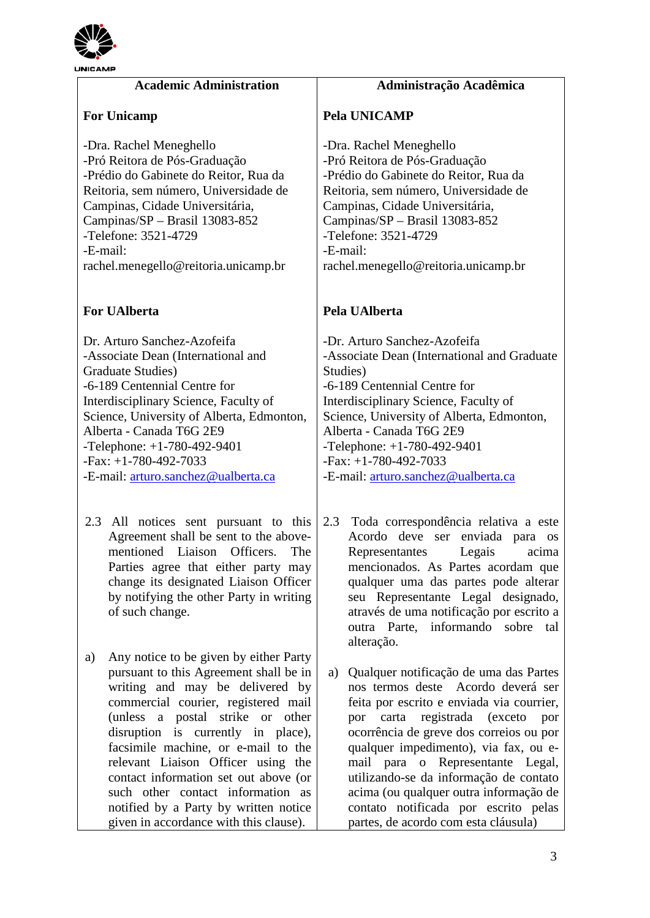

| <b>JNICAMP</b>                                                         |                                                          |
|------------------------------------------------------------------------|----------------------------------------------------------|
| <b>Academic Administration</b>                                         | Administração Acadêmica                                  |
| <b>For Unicamp</b>                                                     | <b>Pela UNICAMP</b>                                      |
| -Dra. Rachel Meneghello<br>-Pró Reitora de Pós-Graduação               | -Dra. Rachel Meneghello<br>-Pró Reitora de Pós-Graduação |
| -Prédio do Gabinete do Reitor, Rua da                                  | -Prédio do Gabinete do Reitor, Rua da                    |
| Reitoria, sem número, Universidade de                                  | Reitoria, sem número, Universidade de                    |
| Campinas, Cidade Universitária,                                        | Campinas, Cidade Universitária,                          |
| Campinas/SP - Brasil 13083-852<br>-Telefone: 3521-4729                 | Campinas/SP - Brasil 13083-852<br>-Telefone: 3521-4729   |
| -E-mail:                                                               | -E-mail:                                                 |
| rachel.menegello@reitoria.unicamp.br                                   | rachel.menegello@reitoria.unicamp.br                     |
| <b>For UAlberta</b>                                                    | Pela UAlberta                                            |
| Dr. Arturo Sanchez-Azofeifa                                            | -Dr. Arturo Sanchez-Azofeifa                             |
| -Associate Dean (International and                                     | -Associate Dean (International and Graduate              |
| Graduate Studies)                                                      | Studies)                                                 |
| -6-189 Centennial Centre for                                           | -6-189 Centennial Centre for                             |
| Interdisciplinary Science, Faculty of                                  | Interdisciplinary Science, Faculty of                    |
| Science, University of Alberta, Edmonton,                              | Science, University of Alberta, Edmonton,                |
| Alberta - Canada T6G 2E9<br>$T-1-1$ , $T-1$ , $T00$ , $T020$ , $T0401$ | Alberta - Canada T6G 2E9<br>$T-1-1 1.700.402.0401$       |

-Telephone: +1-780-492-9401 -Fax: +1-780-492-7033

-E-mail: [arturo.sanchez@ualberta.ca](mailto:arturo.sanchez@ualberta.ca)

- 2.3 All notices sent pursuant to this Agreement shall be sent to the abovementioned Liaison Officers. The Parties agree that either party may change its designated Liaison Officer by notifying the other Party in writing of such change.
- a) Any notice to be given by either Party pursuant to this Agreement shall be in writing and may be delivered by commercial courier, registered mail (unless a postal strike or other disruption is currently in place), facsimile machine, or e-mail to the relevant Liaison Officer using the contact information set out above (or such other contact information as notified by a Party by written notice given in accordance with this clause).

-Telephone: +1-780-492-9401 -Fax: +1-780-492-7033 -E-mail: [arturo.sanchez@ualberta.ca](mailto:arturo.sanchez@ualberta.ca)

- 2.3 Toda correspondência relativa a este Acordo deve ser enviada para os Representantes Legais acima mencionados. As Partes acordam que qualquer uma das partes pode alterar seu Representante Legal designado, através de uma notificação por escrito a outra Parte, informando sobre tal alteração.
- a) Qualquer notificação de uma das Partes nos termos deste Acordo deverá ser feita por escrito e enviada via courrier, por carta registrada (exceto por ocorrência de greve dos correios ou por qualquer impedimento), via fax, ou email para o Representante Legal, utilizando-se da informação de contato acima (ou qualquer outra informação de contato notificada por escrito pelas partes, de acordo com esta cláusula)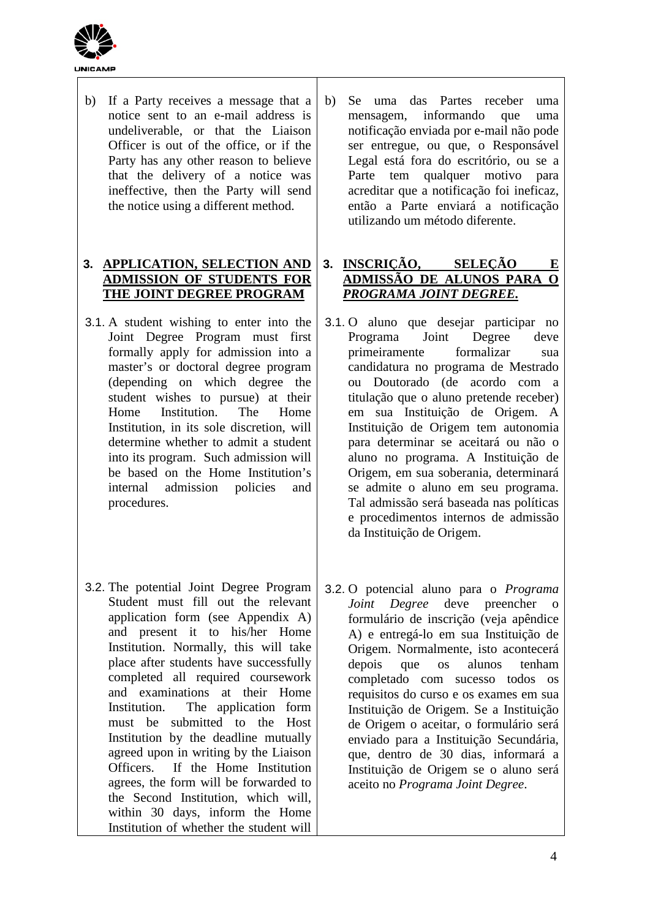

| b)<br>Se<br>me<br>not<br>ser<br>Le<br>Pa<br>acr<br>ent<br>uti | If a Party receives a message that a<br>b)<br>notice sent to an e-mail address is<br>undeliverable, or that the Liaison<br>Officer is out of the office, or if the<br>Party has any other reason to believe<br>that the delivery of a notice was<br>ineffective, then the Party will send<br>the notice using a different method.                          |
|---------------------------------------------------------------|------------------------------------------------------------------------------------------------------------------------------------------------------------------------------------------------------------------------------------------------------------------------------------------------------------------------------------------------------------|
| <b>INS</b><br>3.<br>AD.<br>PR(                                | 3. APPLICATION, SELECTION AND<br><b>ADMISSION OF STUDENTS FOR</b><br>THE JOINT DEGREE PROGRAM                                                                                                                                                                                                                                                              |
| 3.1.0<br>Pro<br>pri<br>car<br>ou<br>titu<br>em<br>Ins<br>pai  | 3.1. A student wishing to enter into the<br>Joint Degree Program must first<br>formally apply for admission into a<br>master's or doctoral degree program<br>(depending on which degree the<br>student wishes to pursue) at their<br>Institution. The<br>Home<br>Home<br>Institution, in its sole discretion, will<br>determine whether to admit a student |

- into its program. Such admission will be based on the Home Institution's internal admission policies and procedures.
- 3.2. The potential Joint Degree Program Student must fill out the relevant application form (see Appendix A) and present it to his/her Home Institution. Normally, this will take place after students have successfully completed all required coursework and examinations at their Home Institution. The application form must be submitted to the Host Institution by the deadline mutually agreed upon in writing by the Liaison Officers. If the Home Institution agrees, the form will be forwarded to the Second Institution, which will, within 30 days, inform the Home Institution of whether the student will

uma das Partes receber uma mensagem, informando que uma tificação enviada por e-mail não pode entregue, ou que, o Responsável Legal está fora do escritório, ou se a rte tem qualquer motivo para reditar que a notificação foi ineficaz, tão a Parte enviará a notificação lizando um método diferente.

## **3. INSCRIÇÃO, SELEÇÃO E ADMISSÃO DE ALUNOS PARA O**  *PROGRAMA JOINT DEGREE.*

- aluno que desejar participar no ograma Joint Degree deve meiramente formalizar sua candidatura no programa de Mestrado Doutorado (de acordo com a ulação que o aluno pretende receber) sua Instituição de Origem. A stituição de Origem tem autonomia ra determinar se aceitará ou não o aluno no programa. A Instituição de Origem, em sua soberania, determinará se admite o aluno em seu programa. Tal admissão será baseada nas políticas e procedimentos internos de admissão da Instituição de Origem.
- 3.2. O potencial aluno para o *Programa Joint Degree* deve preencher o formulário de inscrição (veja apêndice A) e entregá-lo em sua Instituição de Origem. Normalmente, isto acontecerá depois que os alunos tenham completado com sucesso todos os requisitos do curso e os exames em sua Instituição de Origem. Se a Instituição de Origem o aceitar, o formulário será enviado para a Instituição Secundária, que, dentro de 30 dias, informará a Instituição de Origem se o aluno será aceito no *Programa Joint Degree*.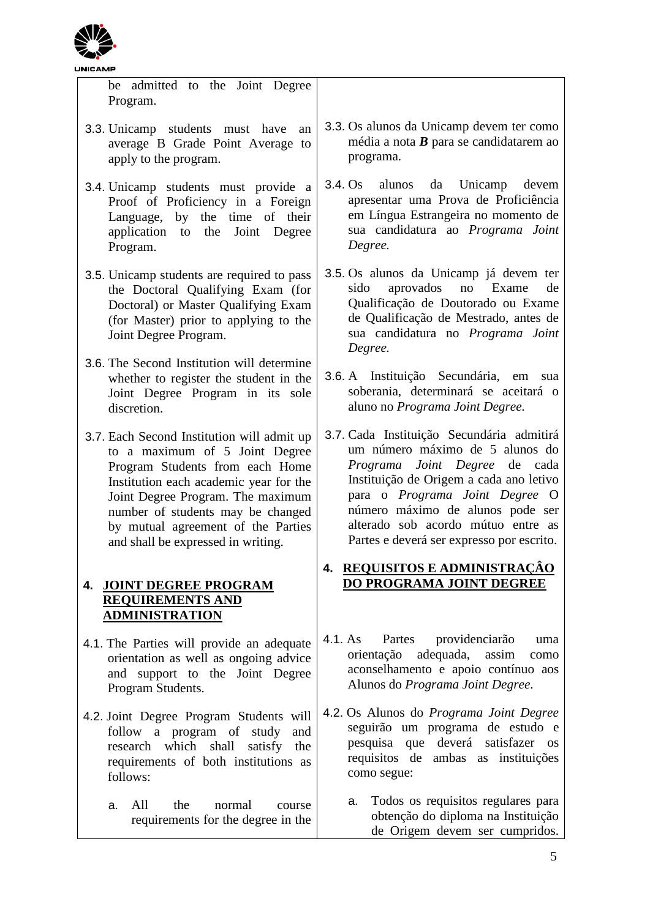

be admitted to the Joint Degree Program.

- 3.3. Unicamp students must have an average B Grade Point Average to apply to the program.
- 3.4. Unicamp students must provide a Proof of Proficiency in a Foreign Language, by the time of their application to the Joint Degree Program.
- 3.5. Unicamp students are required to pass the Doctoral Qualifying Exam (for Doctoral) or Master Qualifying Exam (for Master) prior to applying to the Joint Degree Program.
- 3.6. The Second Institution will determine whether to register the student in the Joint Degree Program in its sole discretion.
- 3.7. Each Second Institution will admit up to a maximum of 5 Joint Degree Program Students from each Home Institution each academic year for the Joint Degree Program. The maximum number of students may be changed by mutual agreement of the Parties and shall be expressed in writing.

# **4. JOINT DEGREE PROGRAM REQUIREMENTS AND ADMINISTRATION**

- 4.1. The Parties will provide an adequate orientation as well as ongoing advice and support to the Joint Degree Program Students.
- 4.2. Joint Degree Program Students will follow a program of study and research which shall satisfy the requirements of both institutions as follows:
	- a. All the normal course requirements for the degree in the
- 3.3. Os alunos da Unicamp devem ter como média a nota *B* para se candidatarem ao programa.
- 3.4. Os alunos da Unicamp devem apresentar uma Prova de Proficiência em Língua Estrangeira no momento de sua candidatura ao *Programa Joint Degree.*
- 3.5. Os alunos da Unicamp já devem ter sido aprovados no Exame de Qualificação de Doutorado ou Exame de Qualificação de Mestrado, antes de sua candidatura no *Programa Joint Degree.*
- 3.6. A Instituição Secundária, em sua soberania, determinará se aceitará o aluno no *Programa Joint Degree.*
- 3.7. Cada Instituição Secundária admitirá um número máximo de 5 alunos do *Programa Joint Degree* de cada Instituição de Origem a cada ano letivo para o *Programa Joint Degree* O número máximo de alunos pode ser alterado sob acordo mútuo entre as Partes e deverá ser expresso por escrito.

# **4. REQUISITOS E ADMINISTRAÇÂO DO PROGRAMA JOINT DEGREE**

- 4.1. As Partes providenciarão uma orientação adequada, assim como aconselhamento e apoio contínuo aos Alunos do *Programa Joint Degree*.
- 4.2. Os Alunos do *Programa Joint Degree* seguirão um programa de estudo e pesquisa que deverá satisfazer os requisitos de ambas as instituições como segue:
	- a. Todos os requisitos regulares para obtenção do diploma na Instituição de Origem devem ser cumpridos.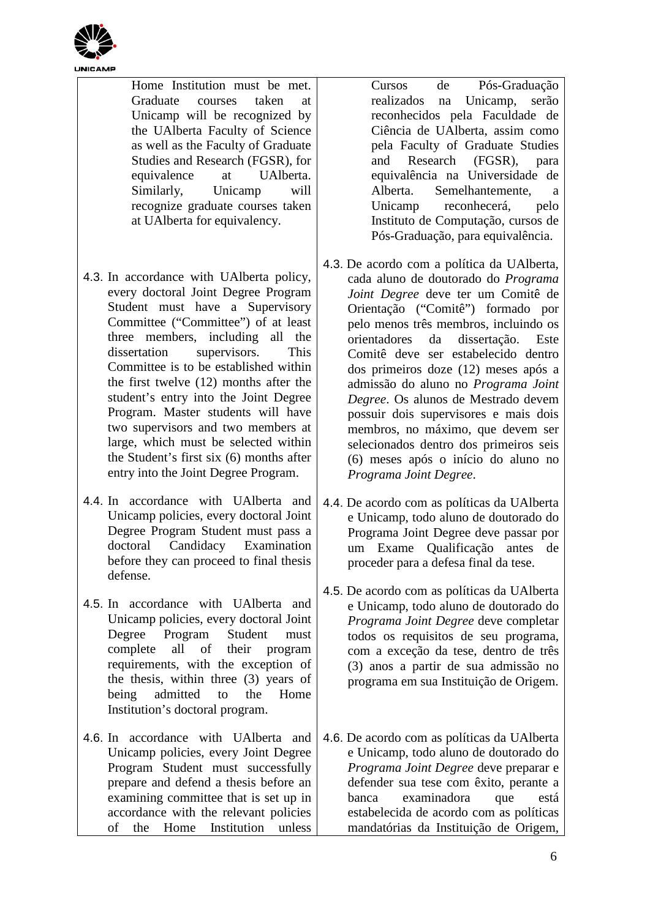

Home Institution must be met. Graduate courses taken at Unicamp will be recognized by the UAlberta Faculty of Science as well as the Faculty of Graduate Studies and Research (FGSR), for equivalence at UAlberta. Similarly, Unicamp will recognize graduate courses taken at UAlberta for equivalency.

- 4.3. In accordance with UAlberta policy, every doctoral Joint Degree Program Student must have a Supervisory Committee ("Committee") of at least three members, including all the dissertation supervisors. This Committee is to be established within the first twelve (12) months after the student's entry into the Joint Degree Program. Master students will have two supervisors and two members at large, which must be selected within the Student's first six (6) months after entry into the Joint Degree Program.
- 4.4. In accordance with UAlberta and Unicamp policies, every doctoral Joint Degree Program Student must pass a doctoral Candidacy Examination before they can proceed to final thesis defense.
- 4.5. In accordance with UAlberta and Unicamp policies, every doctoral Joint Degree Program Student must complete all of their program requirements, with the exception of the thesis, within three (3) years of being admitted to the Home Institution's doctoral program.
- 4.6. In accordance with UAlberta and Unicamp policies, every Joint Degree Program Student must successfully prepare and defend a thesis before an examining committee that is set up in accordance with the relevant policies of the Home Institution unless

Cursos de Pós-Graduação realizados na Unicamp, serão reconhecidos pela Faculdade de Ciência de UAlberta, assim como pela Faculty of Graduate Studies and Research (FGSR), para equivalência na Universidade de Alberta. Semelhantemente, a Unicamp reconhecerá, pelo Instituto de Computação, cursos de Pós-Graduação, para equivalência.

- 4.3. De acordo com a política da UAlberta, cada aluno de doutorado do *Programa Joint Degree* deve ter um Comitê de Orientação ("Comitê") formado por pelo menos três membros, incluindo os orientadores da dissertação. Este Comitê deve ser estabelecido dentro dos primeiros doze (12) meses após a admissão do aluno no *Programa Joint Degree*. Os alunos de Mestrado devem possuir dois supervisores e mais dois membros, no máximo, que devem ser selecionados dentro dos primeiros seis (6) meses após o início do aluno no *Programa Joint Degree*.
- 4.4. De acordo com as políticas da UAlberta e Unicamp, todo aluno de doutorado do Programa Joint Degree deve passar por um Exame Qualificação antes de proceder para a defesa final da tese.
- 4.5. De acordo com as políticas da UAlberta e Unicamp, todo aluno de doutorado do *Programa Joint Degree* deve completar todos os requisitos de seu programa, com a exceção da tese, dentro de três (3) anos a partir de sua admissão no programa em sua Instituição de Origem.
- 4.6. De acordo com as políticas da UAlberta e Unicamp, todo aluno de doutorado do *Programa Joint Degree* deve preparar e defender sua tese com êxito, perante a banca examinadora que está estabelecida de acordo com as políticas mandatórias da Instituição de Origem,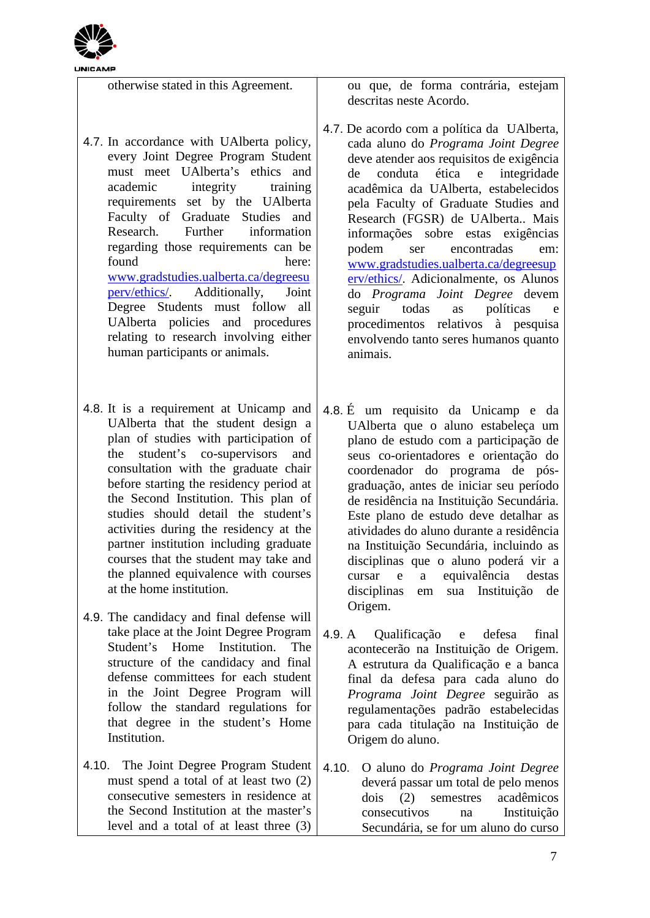

otherwise stated in this Agreement.

- 4.7. In accordance with UAlberta policy, every Joint Degree Program Student must meet UAlberta's ethics and academic integrity training requirements set by the UAlberta Faculty of Graduate Studies and Research. Further information regarding those requirements can be found here: [www.gradstudies.ualberta.ca/degreesu](http://www.gradstudies.ualberta.ca/degreesuperv/ethics/) [perv/ethics/.](http://www.gradstudies.ualberta.ca/degreesuperv/ethics/) Additionally, Joint Degree Students must follow all UAlberta policies and procedures relating to research involving either human participants or animals.
- 4.8. It is a requirement at Unicamp and UAlberta that the student design a plan of studies with participation of the student's co-supervisors and consultation with the graduate chair before starting the residency period at the Second Institution. This plan of studies should detail the student's activities during the residency at the partner institution including graduate courses that the student may take and the planned equivalence with courses at the home institution.
- 4.9. The candidacy and final defense will take place at the Joint Degree Program Student's Home Institution. The structure of the candidacy and final defense committees for each student in the Joint Degree Program will follow the standard regulations for that degree in the student's Home **Institution**
- 4.10. The Joint Degree Program Student must spend a total of at least two (2) consecutive semesters in residence at the Second Institution at the master's level and a total of at least three (3)

ou que, de forma contrária, estejam descritas neste Acordo.

- 4.7. De acordo com a política da UAlberta, cada aluno do *Programa Joint Degree* deve atender aos requisitos de exigência<br>de conduta ética e integridade de conduta ética e integridade acadêmica da UAlberta, estabelecidos pela Faculty of Graduate Studies and Research (FGSR) de UAlberta.. Mais informações sobre estas exigências podem ser encontradas em: [www.gradstudies.ualberta.ca/degreesup](http://www.gradstudies.ualberta.ca/degreesuperv/ethics/) [erv/ethics/.](http://www.gradstudies.ualberta.ca/degreesuperv/ethics/) Adicionalmente, os Alunos do *Programa Joint Degree* devem seguir todas as políticas e procedimentos relativos à pesquisa envolvendo tanto seres humanos quanto animais.
- 4.8. É um requisito da Unicamp e da UAlberta que o aluno estabeleça um plano de estudo com a participação de seus co-orientadores e orientação do coordenador do programa de pósgraduação, antes de iniciar seu período de residência na Instituição Secundária. Este plano de estudo deve detalhar as atividades do aluno durante a residência na Instituição Secundária, incluindo as disciplinas que o aluno poderá vir a cursar e a equivalência destas disciplinas em sua Instituição de Origem.
- 4.9. A Qualificação e defesa final acontecerão na Instituição de Origem. A estrutura da Qualificação e a banca final da defesa para cada aluno do *Programa Joint Degree* seguirão as regulamentações padrão estabelecidas para cada titulação na Instituição de Origem do aluno.
- 4.10. O aluno do *Programa Joint Degree* deverá passar um total de pelo menos dois (2) semestres acadêmicos consecutivos na Instituição Secundária, se for um aluno do curso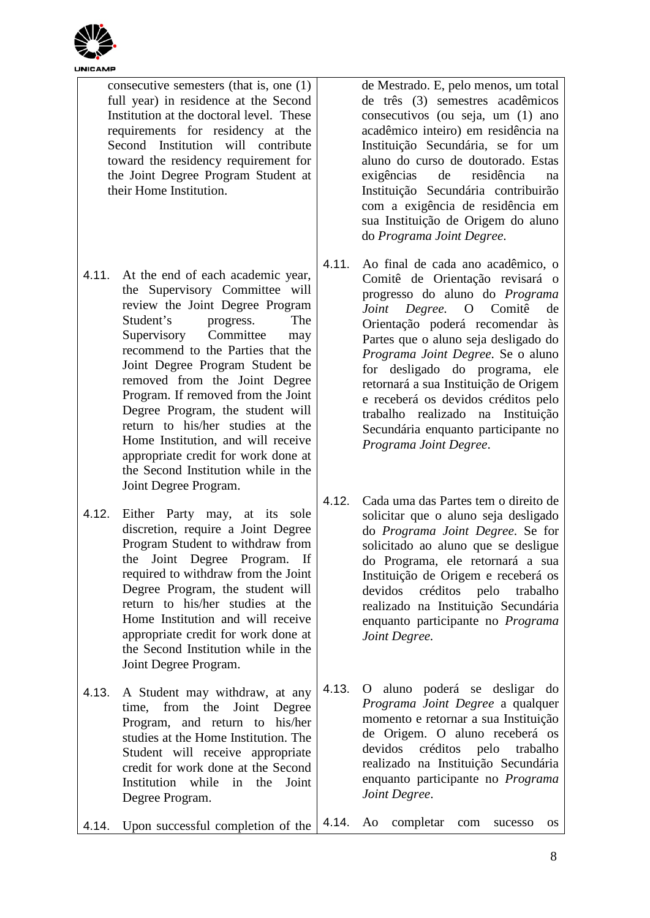

|                                   | consecutive semesters (that is, one $(1)$ )<br>full year) in residence at the Second |       | d<br>d           |
|-----------------------------------|--------------------------------------------------------------------------------------|-------|------------------|
|                                   | Institution at the doctoral level. These                                             |       | $\mathbf c$      |
| requirements for residency at the |                                                                                      |       | a                |
|                                   | Second Institution will contribute                                                   |       | I                |
|                                   | toward the residency requirement for                                                 |       | a                |
|                                   | the Joint Degree Program Student at                                                  |       | e                |
|                                   | their Home Institution.                                                              |       | I                |
|                                   |                                                                                      |       | $\mathbf c$      |
|                                   |                                                                                      |       | S<br>d           |
|                                   |                                                                                      |       |                  |
| 4.11.                             |                                                                                      | 4.11. | F                |
|                                   | At the end of each academic year,<br>the Supervisory Committee will                  |       | C                |
|                                   | review the Joint Degree Program                                                      |       | p                |
|                                   | Student's<br>progress.<br>The                                                        |       | J<br>C           |
|                                   | Supervisory Committee<br>may                                                         |       | F                |
|                                   | recommend to the Parties that the                                                    |       | I                |
|                                   | Joint Degree Program Student be                                                      |       | f <sub>0</sub>   |
|                                   | removed from the Joint Degree                                                        |       | $\mathbf{r}$     |
|                                   | Program. If removed from the Joint                                                   |       | e                |
|                                   | Degree Program, the student will<br>return to his/her studies at the                 |       | tı               |
|                                   | Home Institution, and will receive                                                   |       | S                |
|                                   | appropriate credit for work done at                                                  |       | I                |
|                                   | the Second Institution while in the                                                  |       |                  |
|                                   | Joint Degree Program.                                                                |       |                  |
|                                   |                                                                                      | 4.12. | C                |
| 4.12.                             | Either Party may, at its<br>sole                                                     |       | S                |
|                                   | discretion, require a Joint Degree<br>Program Student to withdraw from               |       | d                |
|                                   | the Joint Degree Program.<br>If                                                      |       | S<br>$\mathbf d$ |
|                                   | required to withdraw from the Joint                                                  |       | $\mathbf{I}$     |
|                                   | Degree Program, the student will                                                     |       | d                |
|                                   | return to his/her studies at the                                                     |       | $\mathbf{r}$     |
|                                   | Home Institution and will receive                                                    |       | e                |
|                                   | appropriate credit for work done at                                                  |       | J                |
|                                   | the Second Institution while in the                                                  |       |                  |
|                                   | Joint Degree Program.                                                                |       |                  |
| 4.13.                             | A Student may withdraw, at any                                                       | 4.13. | $\mathsf{C}$     |
|                                   | from the Joint Degree<br>time,                                                       |       | I                |
|                                   | Program, and return to his/her                                                       |       | n                |
|                                   | studies at the Home Institution. The                                                 |       | d<br>$\mathbf d$ |
|                                   | Student will receive appropriate                                                     |       | $\mathbf{r}$     |
|                                   | credit for work done at the Second<br>Institution while in the Joint                 |       | e                |
|                                   | Degree Program.                                                                      |       | J                |
|                                   |                                                                                      |       |                  |
| 4.14.                             | Upon successful completion of the                                                    | 4.14. | F                |

le Mestrado. E, pelo menos, um total le três (3) semestres acadêmicos consecutivos (ou seja, um (1) ano acadêmico inteiro) em residência na nstituição Secundária, se for um aluno do curso de doutorado. Estas exigências de residência na Instituição Secundária contribuirão com a exigência de residência em ua Instituição de Origem do aluno do *Programa Joint Degree*.

- 4.11. Ao final de cada ano acadêmico, o Comitê de Orientação revisará o progresso do aluno do *Programa Joint Degree.* O Comitê de Orientação poderá recomendar às Partes que o aluno seja desligado do *Programa Joint Degree*. Se o aluno for desligado do programa, ele retornará a sua Instituição de Origem e receberá os devidos créditos pelo trabalho realizado na Instituição Secundária enquanto participante no *Programa Joint Degree*.
- 4.12. Cada uma das Partes tem o direito de solicitar que o aluno seja desligado do *Programa Joint Degree*. Se for solicitado ao aluno que se desligue lo Programa, ele retornará a sua nstituição de Origem e receberá os devidos créditos pelo trabalho realizado na Instituição Secundária enquanto participante no *Programa Joint Degree.*

4.13. O aluno poderá se desligar do *Programa Joint Degree* a qualquer momento e retornar a sua Instituição le Origem. O aluno receberá os devidos créditos pelo trabalho realizado na Instituição Secundária enquanto participante no *Programa Joint Degree*.

4.14. Ao completar com sucesso os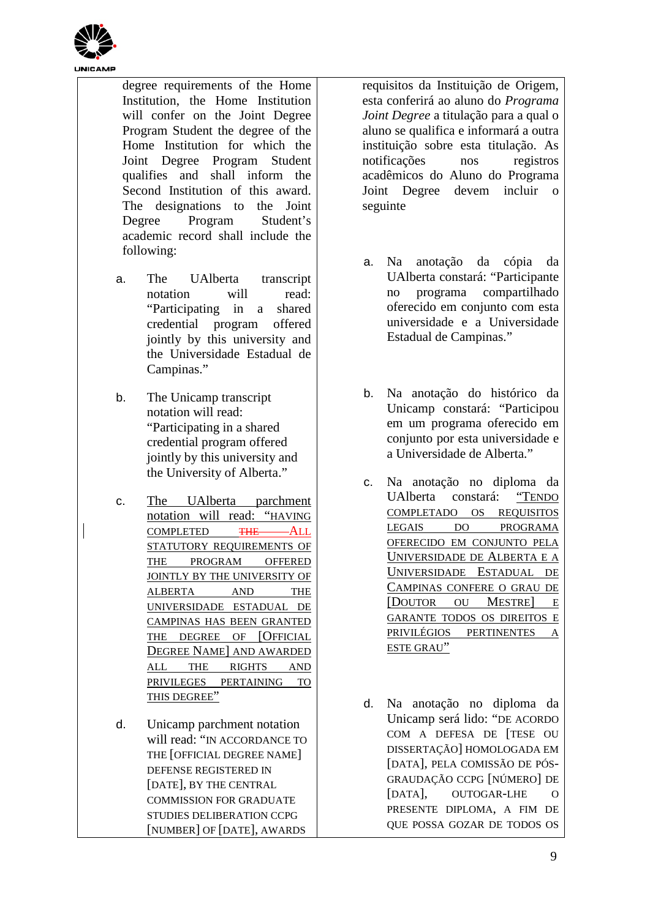

- degree requirements of the Home Institution, the Home Institution will confer on the Joint Degree Program Student the degree of the Home Institution for which the Joint Degree Program Student qualifies and shall inform the Second Institution of this award. The designations to the Joint Degree Program Student's academic record shall include the following:
- a. The UAlberta transcript notation will read: "Participating in a shared credential program offered jointly by this university and the Universidade Estadual de Campinas."
- b. The Unicamp transcript notation will read: "Participating in a shared credential program offered jointly by this university and the University of Alberta."
- c. The UAlberta parchment notation will read: "HAVING COMPLETED THE STATUTORY REQUIREMENTS OF THE PROGRAM OFFERED JOINTLY BY THE UNIVERSITY OF ALBERTA AND THE UNIVERSIDADE ESTADUAL DE CAMPINAS HAS BEEN GRANTED THE DEGREE OF [OFFICIAL DEGREE NAME] AND AWARDED ALL THE RIGHTS AND PRIVILEGES PERTAINING TO THIS DEGREE"
- d. Unicamp parchment notation will read: "IN ACCORDANCE TO THE [OFFICIAL DEGREE NAME] DEFENSE REGISTERED IN [DATE], BY THE CENTRAL COMMISSION FOR GRADUATE STUDIES DELIBERATION CCPG [NUMBER] OF [DATE], AWARDS

requisitos da Instituição de Origem, esta conferirá ao aluno do *Programa Joint Degree* a titulação para a qual o aluno se qualifica e informará a outra instituição sobre esta titulação. As notificações nos registros acadêmicos do Aluno do Programa Joint Degree devem incluir o seguinte

- a. Na anotação da cópia da UAlberta constará: "Participante no programa compartilhado oferecido em conjunto com esta universidade e a Universidade Estadual de Campinas."
- b. Na anotação do histórico da Unicamp constará: "Participou em um programa oferecido em conjunto por esta universidade e a Universidade de Alberta."
- c. Na anotação no diploma da UAlberta constará: "TENDO COMPLETADO OS REQUISITOS LEGAIS DO PROGRAMA OFERECIDO EM CONJUNTO PELA UNIVERSIDADE DE ALBERTA E A UNIVERSIDADE ESTADUAL DE CAMPINAS CONFERE O GRAU DE [DOUTOR OU MESTRE] E GARANTE TODOS OS DIREITOS E PRIVILÉGIOS PERTINENTES A ESTE GRAU"
- d. Na anotação no diploma da Unicamp será lido: "DE ACORDO COM A DEFESA DE [TESE OU DISSERTAÇÃO] HOMOLOGADA EM [DATA], PELA COMISSÃO DE PÓS-GRAUDAÇÃO CCPG [NÚMERO] DE [DATA], OUTOGAR-LHE O PRESENTE DIPLOMA, A FIM DE QUE POSSA GOZAR DE TODOS OS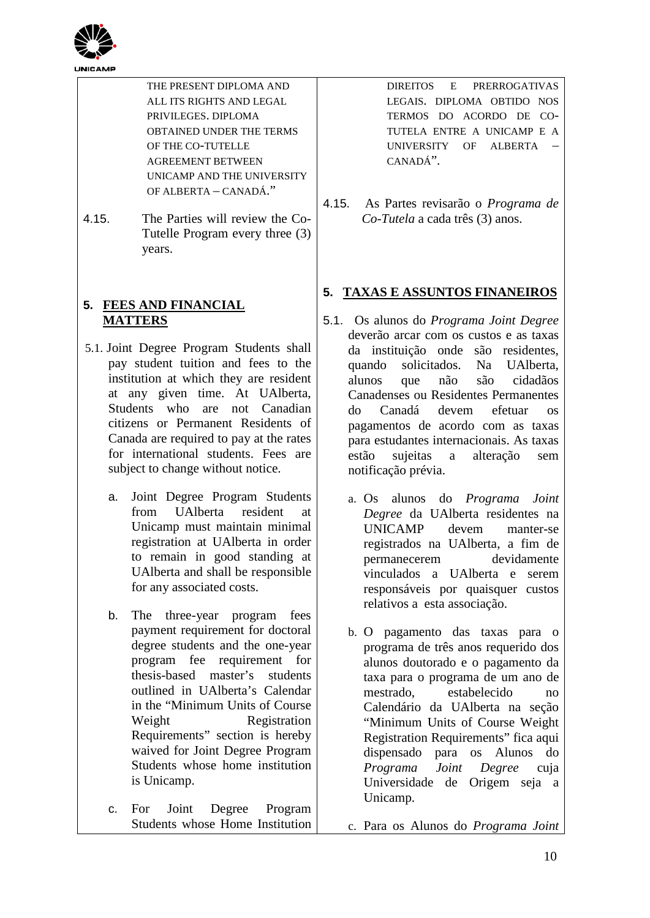

4.15. The Parties will review the Co-Tutelle Program every three (3) years.

## **5. FEES AND FINANCIAL MATTERS**

- 5.1. Joint Degree Program Students shall pay student tuition and fees to the institution at which they are resident at any given time. At UAlberta, Students who are not Canadian citizens or Permanent Residents of Canada are required to pay at the rates for international students. Fees are subject to change without notice.
	- a. Joint Degree Program Students from UAlberta resident at Unicamp must maintain minimal registration at UAlberta in order to remain in good standing at UAlberta and shall be responsible for any associated costs.
	- b. The three-year program fees payment requirement for doctoral degree students and the one-year program fee requirement for thesis-based master's students outlined in UAlberta's Calendar in the "Minimum Units of Course Weight Registration Requirements" section is hereby waived for Joint Degree Program Students whose home institution is Unicamp.
	- c. For Joint Degree Program Students whose Home Institution

DIREITOS E PRERROGATIVAS LEGAIS. DIPLOMA OBTIDO NOS TERMOS DO ACORDO DE CO-TUTELA ENTRE A UNICAMP E A UNIVERSITY OF ALBERTA – CANADÁ".

4.15. As Partes revisarão o *Programa de Co-Tutela* a cada três (3) anos.

# **5. TAXAS E ASSUNTOS FINANEIROS**

- 5.1. Os alunos do *Programa Joint Degree* deverão arcar com os custos e as taxas da instituição onde são residentes, quando solicitados. Na UAlberta, alunos que não são cidadãos Canadenses ou Residentes Permanentes do Canadá devem efetuar os pagamentos de acordo com as taxas para estudantes internacionais. As taxas estão sujeitas a alteração sem notificação prévia.
	- a. Os alunos do *Programa Joint Degree* da UAlberta residentes na UNICAMP devem manter-se registrados na UAlberta, a fim de permanecerem devidamente vinculados a UAlberta e serem responsáveis por quaisquer custos relativos a esta associação.
	- b. O pagamento das taxas para o programa de três anos requerido dos alunos doutorado e o pagamento da taxa para o programa de um ano de mestrado, estabelecido no Calendário da UAlberta na seção "Minimum Units of Course Weight Registration Requirements" fica aqui dispensado para os Alunos do *Programa Joint Degree* cuja Universidade de Origem seja a Unicamp.
	- c. Para os Alunos do *Programa Joint*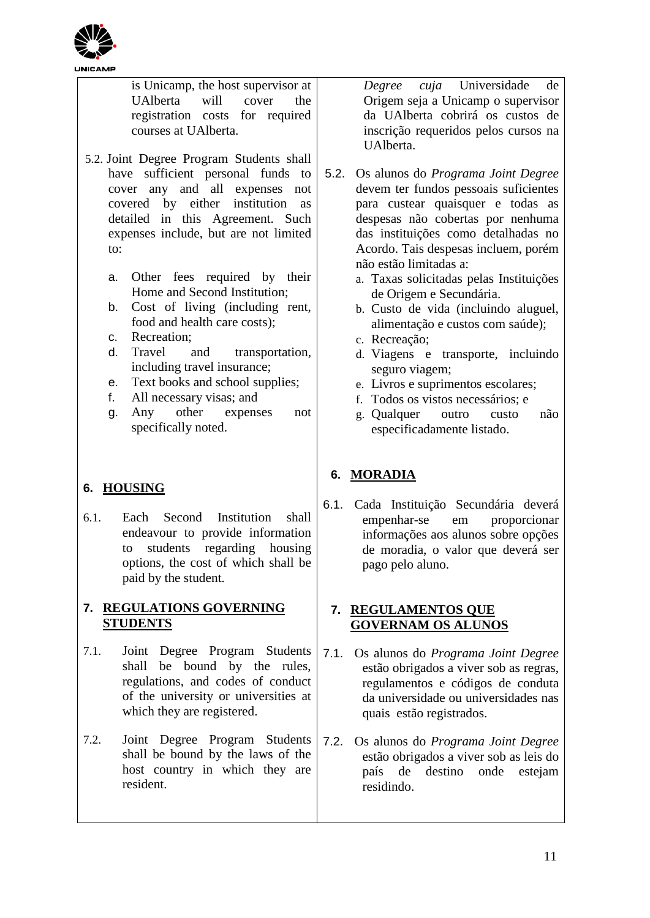

is Unicamp, the host supervisor at UAlberta will cover the registration costs for required courses at UAlberta.

- 5.2. Joint Degree Program Students shall have sufficient personal funds to cover any and all expenses not covered by either institution as detailed in this Agreement. Such expenses include, but are not limited to:
	- a. Other fees required by their Home and Second Institution;
	- b. Cost of living (including rent, food and health care costs);
	- c. Recreation;
	- d. Travel and transportation, including travel insurance;
	- e. Text books and school supplies;
	- f. All necessary visas; and
	- g. Any other expenses not specifically noted.

# **6. HOUSING**

6.1. Each Second Institution shall endeavour to provide information students regarding housing options, the cost of which shall be paid by the student.

# **7. REGULATIONS GOVERNING STUDENTS**

- 7.1. Joint Degree Program Students shall be bound by the rules, regulations, and codes of conduct of the university or universities at which they are registered.
- 7.2. Joint Degree Program Students shall be bound by the laws of the host country in which they are resident.

*Degree cuja* Universidade de Origem seja a Unicamp o supervisor da UAlberta cobrirá os custos de inscrição requeridos pelos cursos na UAlberta.

- 5.2. Os alunos do *Programa Joint Degree* devem ter fundos pessoais suficientes para custear quaisquer e todas as despesas não cobertas por nenhuma das instituições como detalhadas no Acordo. Tais despesas incluem, porém não estão limitadas a:
	- a. Taxas solicitadas pelas Instituições de Origem e Secundária.
	- b. Custo de vida (incluindo aluguel, alimentação e custos com saúde);
	- c. Recreação;
	- d. Viagens e transporte, incluindo seguro viagem;
	- e. Livros e suprimentos escolares;
	- f. Todos os vistos necessários; e
	- g. Qualquer outro custo não especificadamente listado.

# **6. MORADIA**

6.1. Cada Instituição Secundária deverá empenhar-se em proporcionar informações aos alunos sobre opções de moradia, o valor que deverá ser pago pelo aluno.

### **7. REGULAMENTOS QUE GOVERNAM OS ALUNOS**

- 7.1. Os alunos do *Programa Joint Degree* estão obrigados a viver sob as regras, regulamentos e códigos de conduta da universidade ou universidades nas quais estão registrados.
- 7.2. Os alunos do *Programa Joint Degree* estão obrigados a viver sob as leis do país de destino onde estejam residindo.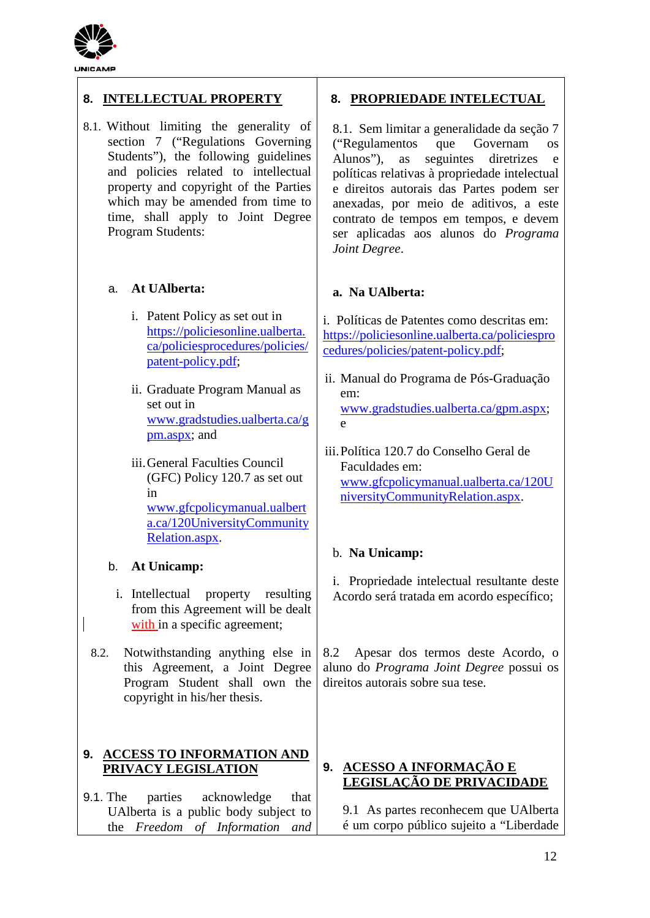

# **8. INTELLECTUAL PROPERTY**

8.1. Without limiting the generality of section 7 ("Regulations Governing Students"), the following guidelines and policies related to intellectual property and copyright of the Parties which may be amended from time to time, shall apply to Joint Degree Program Students:

## a. **At UAlberta:**

- i. Patent Policy as set out in [https://policiesonline.ualberta.](https://policiesonline.ualberta.ca/policiesprocedures/policies/patent-policy.pdf) [ca/policiesprocedures/policies/](https://policiesonline.ualberta.ca/policiesprocedures/policies/patent-policy.pdf) [patent-policy.pdf;](https://policiesonline.ualberta.ca/policiesprocedures/policies/patent-policy.pdf)
- ii. Graduate Program Manual as set out in [www.gradstudies.ualberta.ca/g](http://www.gradstudies.ualberta.ca/gpm.aspx) [pm.aspx;](http://www.gradstudies.ualberta.ca/gpm.aspx) and
- iii.General Faculties Council (GFC) Policy 120.7 as set out in [www.gfcpolicymanual.ualbert](http://www.gfcpolicymanual.ualberta.ca/120UniversityCommunityRelation.aspx) [a.ca/120UniversityCommunity](http://www.gfcpolicymanual.ualberta.ca/120UniversityCommunityRelation.aspx) [Relation.aspx.](http://www.gfcpolicymanual.ualberta.ca/120UniversityCommunityRelation.aspx)

## b. **At Unicamp:**

- i. Intellectual property resulting from this Agreement will be dealt with in a specific agreement;
- 8.2. Notwithstanding anything else in this Agreement, a Joint Degree Program Student shall own the copyright in his/her thesis.

## **9. ACCESS TO INFORMATION AND PRIVACY LEGISLATION**

9.1. The parties acknowledge that UAlberta is a public body subject to the *Freedom of Information and* 

## **8. PROPRIEDADE INTELECTUAL**

8.1. Sem limitar a generalidade da seção 7<br>
("Regulamentos que Governam os ("Regulamentos que Governam os Alunos"), as seguintes diretrizes e políticas relativas à propriedade intelectual e direitos autorais das Partes podem ser anexadas, por meio de aditivos, a este contrato de tempos em tempos, e devem ser aplicadas aos alunos do *Programa Joint Degree*.

### **a. Na UAlberta:**

i. Políticas de Patentes como descritas em: [https://policiesonline.ualberta.ca/policiespro](https://policiesonline.ualberta.ca/policiesprocedures/policies/patent-policy.pdf) [cedures/policies/patent-policy.pdf;](https://policiesonline.ualberta.ca/policiesprocedures/policies/patent-policy.pdf)

- ii. Manual do Programa de Pós-Graduação em: [www.gradstudies.ualberta.ca/gpm.aspx;](http://www.gradstudies.ualberta.ca/gpm.aspx) e
- iii.Política 120.7 do Conselho Geral de Faculdades em: [www.gfcpolicymanual.ualberta.ca/120U](http://www.gfcpolicymanual.ualberta.ca/120UniversityCommunityRelation.aspx) [niversityCommunityRelation.aspx.](http://www.gfcpolicymanual.ualberta.ca/120UniversityCommunityRelation.aspx)

## b. **Na Unicamp:**

i. Propriedade intelectual resultante deste Acordo será tratada em acordo específico;

8.2 Apesar dos termos deste Acordo, o aluno do *Programa Joint Degree* possui os direitos autorais sobre sua tese.

### **9. ACESSO A INFORMAÇÃO E LEGISLAÇÃO DE PRIVACIDADE**

9.1 As partes reconhecem que UAlberta é um corpo público sujeito a "Liberdade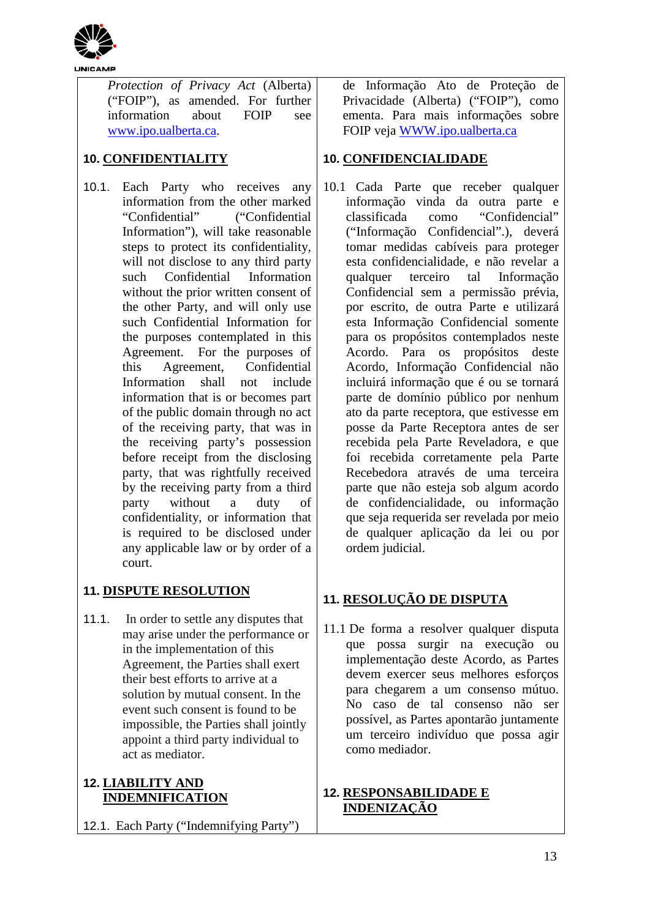

*Protection of Privacy Act* (Alberta) ("FOIP"), as amended. For further information about FOIP see [www.ipo.ualberta.ca.](http://www.ipo.ualberta.ca/)

# **10. CONFIDENTIALITY**

10.1. Each Party who receives any information from the other marked "Confidential" ("Confidential Information"), will take reasonable steps to protect its confidentiality, will not disclose to any third party such Confidential Information without the prior written consent of the other Party, and will only use such Confidential Information for the purposes contemplated in this Agreement. For the purposes of this Agreement, Confidential Information shall not include information that is or becomes part of the public domain through no act of the receiving party, that was in the receiving party's possession before receipt from the disclosing party, that was rightfully received by the receiving party from a third party without a duty of confidentiality, or information that is required to be disclosed under any applicable law or by order of a court.

# **11. DISPUTE RESOLUTION**

11.1. In order to settle any disputes that may arise under the performance or in the implementation of this Agreement, the Parties shall exert their best efforts to arrive at a solution by mutual consent. In the event such consent is found to be impossible, the Parties shall jointly appoint a third party individual to act as mediator.

## **12. LIABILITY AND INDEMNIFICATION**

12.1. Each Party ("Indemnifying Party")

de Informação Ato de Proteção de Privacidade (Alberta) ("FOIP"), como ementa. Para mais informações sobre FOIP veja [WWW.ipo.ualberta.ca](http://www.ipo.ualberta.ca/)

## **10. CONFIDENCIALIDADE**

10.1 Cada Parte que receber qualquer informação vinda da outra parte e classificada como "Confidencial" ("Informação Confidencial".), deverá tomar medidas cabíveis para proteger esta confidencialidade, e não revelar a qualquer terceiro tal Informação Confidencial sem a permissão prévia, por escrito, de outra Parte e utilizará esta Informação Confidencial somente para os propósitos contemplados neste Acordo. Para os propósitos deste Acordo, Informação Confidencial não incluirá informação que é ou se tornará parte de domínio público por nenhum ato da parte receptora, que estivesse em posse da Parte Receptora antes de ser recebida pela Parte Reveladora, e que foi recebida corretamente pela Parte Recebedora através de uma terceira parte que não esteja sob algum acordo de confidencialidade, ou informação que seja requerida ser revelada por meio de qualquer aplicação da lei ou por ordem judicial.

# **11. RESOLUÇÃO DE DISPUTA**

11.1 De forma a resolver qualquer disputa que possa surgir na execução ou implementação deste Acordo, as Partes devem exercer seus melhores esforços para chegarem a um consenso mútuo. No caso de tal consenso não ser possível, as Partes apontarão juntamente um terceiro indivíduo que possa agir como mediador.

# **12. RESPONSABILIDADE E INDENIZAÇÃO**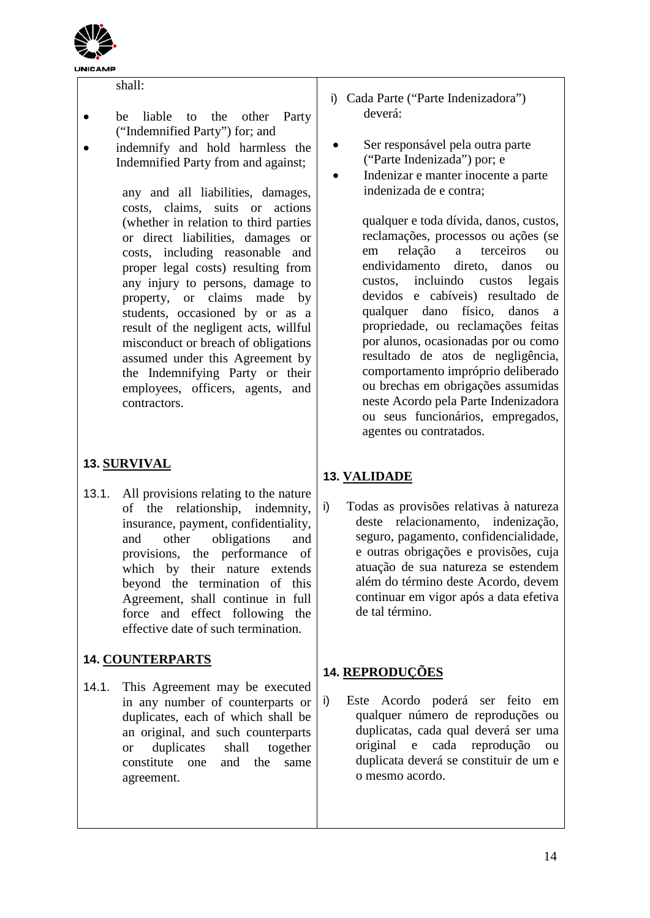

#### shall:

- be liable to the other Party ("Indemnified Party") for; and
- indemnify and hold harmless the Indemnified Party from and against;

any and all liabilities, damages, costs, claims, suits or actions (whether in relation to third parties or direct liabilities, damages or costs, including reasonable and proper legal costs) resulting from any injury to persons, damage to property, or claims made by students, occasioned by or as a result of the negligent acts, willful misconduct or breach of obligations assumed under this Agreement by the Indemnifying Party or their employees, officers, agents, and contractors.

# **13. SURVIVAL**

13.1. All provisions relating to the nature of the relationship, indemnity, insurance, payment, confidentiality, and other obligations and provisions, the performance of which by their nature extends beyond the termination of this Agreement, shall continue in full force and effect following the effective date of such termination.

# **14. COUNTERPARTS**

14.1. This Agreement may be executed in any number of counterparts or duplicates, each of which shall be an original, and such counterparts or duplicates shall together constitute one and the same agreement.

- i) Cada Parte ("Parte Indenizadora") deverá:
- Ser responsável pela outra parte ("Parte Indenizada") por; e
- Indenizar e manter inocente a parte indenizada de e contra;

qualquer e toda dívida, danos, custos, reclamações, processos ou ações (se em relação a terceiros ou endividamento direto, danos ou custos, incluindo custos legais devidos e cabíveis) resultado de qualquer dano físico, danos a propriedade, ou reclamações feitas por alunos, ocasionadas por ou como resultado de atos de negligência, comportamento impróprio deliberado ou brechas em obrigações assumidas neste Acordo pela Parte Indenizadora ou seus funcionários, empregados, agentes ou contratados.

# **13. VALIDADE**

i) Todas as provisões relativas à natureza deste relacionamento, indenização, seguro, pagamento, confidencialidade, e outras obrigações e provisões, cuja atuação de sua natureza se estendem além do término deste Acordo, devem continuar em vigor após a data efetiva de tal término.

# **14. REPRODUÇÕES**

i) Este Acordo poderá ser feito em qualquer número de reproduções ou duplicatas, cada qual deverá ser uma original e cada reprodução ou duplicata deverá se constituir de um e o mesmo acordo.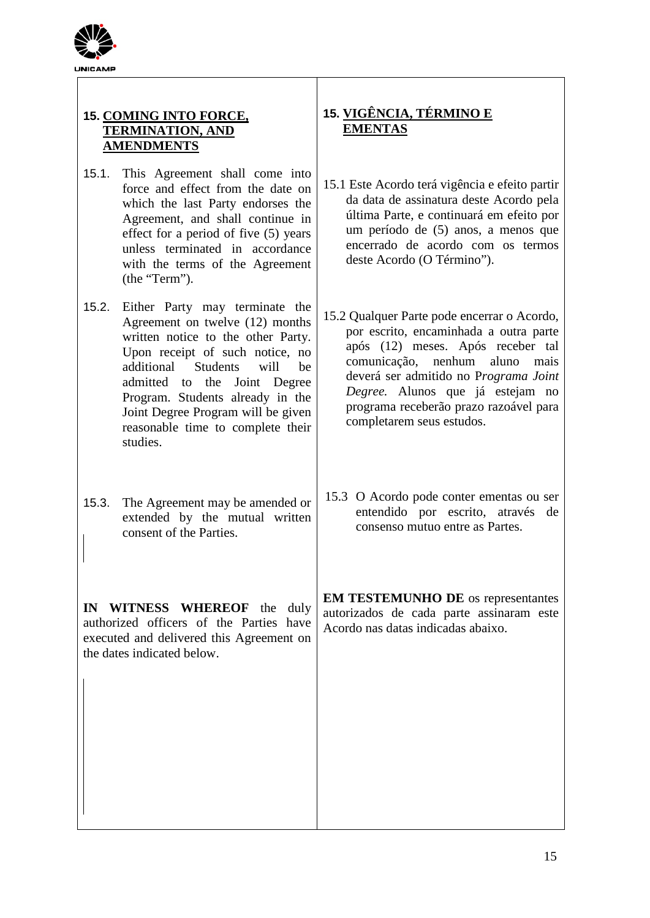

# **15. COMING INTO FORCE, TERMINATION, AND AMENDMENTS**

- 15.1. This Agreement shall come into force and effect from the date on which the last Party endorses the Agreement, and shall continue in effect for a period of five (5) years unless terminated in accordance with the terms of the Agreement (the "Term").
- 15.2. Either Party may terminate the Agreement on twelve (12) months written notice to the other Party. Upon receipt of such notice, no additional Students will be admitted to the Joint Degree Program. Students already in the Joint Degree Program will be given reasonable time to complete their studies.
- 15.3. The Agreement may be amended or extended by the mutual written consent of the Parties.

**IN WITNESS WHEREOF** the duly authorized officers of the Parties have executed and delivered this Agreement on the dates indicated below.

# **15. VIGÊNCIA, TÉRMINO E EMENTAS**

- 15.1 Este Acordo terá vigência e efeito partir da data de assinatura deste Acordo pela última Parte, e continuará em efeito por um período de (5) anos, a menos que encerrado de acordo com os termos deste Acordo (O Término").
- 15.2 Qualquer Parte pode encerrar o Acordo, por escrito, encaminhada a outra parte após (12) meses. Após receber tal comunicação, nenhum aluno mais deverá ser admitido no P*rograma Joint Degree.* Alunos que já estejam no programa receberão prazo razoável para completarem seus estudos.
- 15.3 O Acordo pode conter ementas ou ser entendido por escrito, através de consenso mutuo entre as Partes.

**EM TESTEMUNHO DE** os representantes autorizados de cada parte assinaram este Acordo nas datas indicadas abaixo.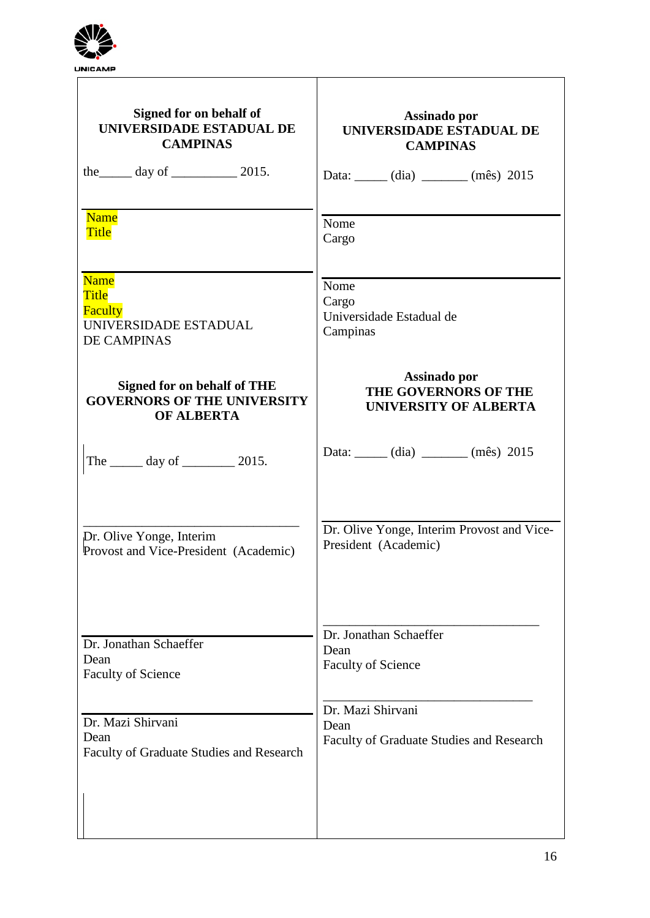

| Signed for on behalf of                                                               | Assinado por                                          |  |
|---------------------------------------------------------------------------------------|-------------------------------------------------------|--|
| UNIVERSIDADE ESTADUAL DE                                                              | UNIVERSIDADE ESTADUAL DE                              |  |
| <b>CAMPINAS</b>                                                                       | <b>CAMPINAS</b>                                       |  |
| the $\_\_\_\$ day of $\_\_\_\_\_\$ 2015.                                              | Data: _____ (dia) ______ (mês) 2015                   |  |
| <b>Name</b>                                                                           | Nome                                                  |  |
| <b>Title</b>                                                                          | Cargo                                                 |  |
| <b>Name</b><br><b>Title</b><br>Faculty<br>UNIVERSIDADE ESTADUAL<br><b>DE CAMPINAS</b> | Nome<br>Cargo<br>Universidade Estadual de<br>Campinas |  |
| <b>Signed for on behalf of THE</b>                                                    | Assinado por                                          |  |
| <b>GOVERNORS OF THE UNIVERSITY</b>                                                    | THE GOVERNORS OF THE                                  |  |
| <b>OF ALBERTA</b>                                                                     | <b>UNIVERSITY OF ALBERTA</b>                          |  |
| The _______ day of __________ 2015.                                                   | Data: _____ (dia) _____ (mês) 2015                    |  |
| Dr. Olive Yonge, Interim                                                              | Dr. Olive Yonge, Interim Provost and Vice-            |  |
| Provost and Vice-President (Academic)                                                 | President (Academic)                                  |  |
| Dr. Jonathan Schaeffer                                                                | Dr. Jonathan Schaeffer                                |  |
| Dean                                                                                  | Dean                                                  |  |
| <b>Faculty of Science</b>                                                             | <b>Faculty of Science</b>                             |  |
| Dr. Mazi Shirvani                                                                     | Dr. Mazi Shirvani                                     |  |
| Dean                                                                                  | Dean                                                  |  |
| Faculty of Graduate Studies and Research                                              | Faculty of Graduate Studies and Research              |  |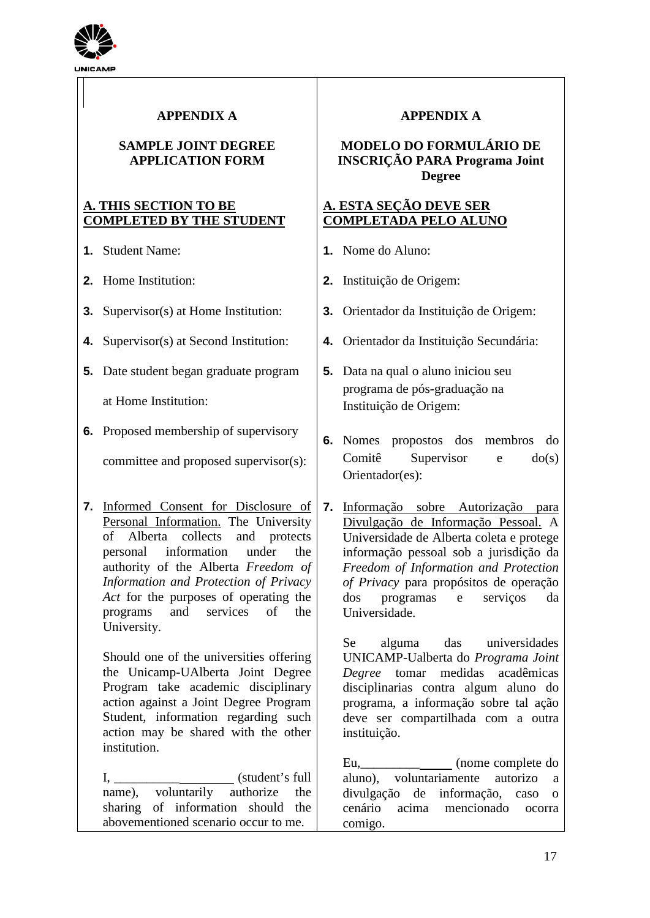

# **APPENDIX A**

### **SAMPLE JOINT DEGREE APPLICATION FORM**

## **A. THIS SECTION TO BE COMPLETED BY THE STUDENT**

- **1.** Student Name:
- **2.** Home Institution:
- **3.** Supervisor(s) at Home Institution:
- **4.** Supervisor(s) at Second Institution:
- **5.** Date student began graduate program

at Home Institution:

**6.** Proposed membership of supervisory

committee and proposed supervisor(s):

**7.** Informed Consent for Disclosure of Personal Information. The University of Alberta collects and protects personal information under the authority of the Alberta *Freedom of Information and Protection of Privacy Act* for the purposes of operating the programs and services of the University.

Should one of the universities offering the Unicamp-UAlberta Joint Degree Program take academic disciplinary action against a Joint Degree Program Student, information regarding such action may be shared with the other institution.

| (student's full                      | aluno), voluntaria |
|--------------------------------------|--------------------|
| name), voluntarily authorize the     | divulgação de in   |
| sharing of information should the    | cenário acima i    |
| abovementioned scenario occur to me. | comigo.            |

# **APPENDIX A**

## **MODELO DO FORMULÁRIO DE INSCRIÇÃO PARA Programa Joint Degree**

## **A. ESTA SEÇÃO DEVE SER COMPLETADA PELO ALUNO**

- **1.** Nome do Aluno:
- **2.** Instituição de Origem:
- **3.** Orientador da Instituição de Origem:
- **4.** Orientador da Instituição Secundária:
- **5.** Data na qual o aluno iniciou seu programa de pós-graduação na Instituição de Origem:
- **6.** Nomes propostos dos membros do Comitê Supervisor e do(s) Orientador(es):
- **7.** Informação sobre Autorização para Divulgação de Informação Pessoal. A Universidade de Alberta coleta e protege informação pessoal sob a jurisdição da *Freedom of Information and Protection of Privacy* para propósitos de operação dos programas e serviços da Universidade.

Se alguma das universidades UNICAMP-Ualberta do *Programa Joint Degree* tomar medidas acadêmicas disciplinarias contra algum aluno do programa, a informação sobre tal ação deve ser compartilhada com a outra instituição.

Eu,\_\_\_\_\_\_\_\_\_(nome complete do mente autorizo a diformação, caso o mencionado ocorra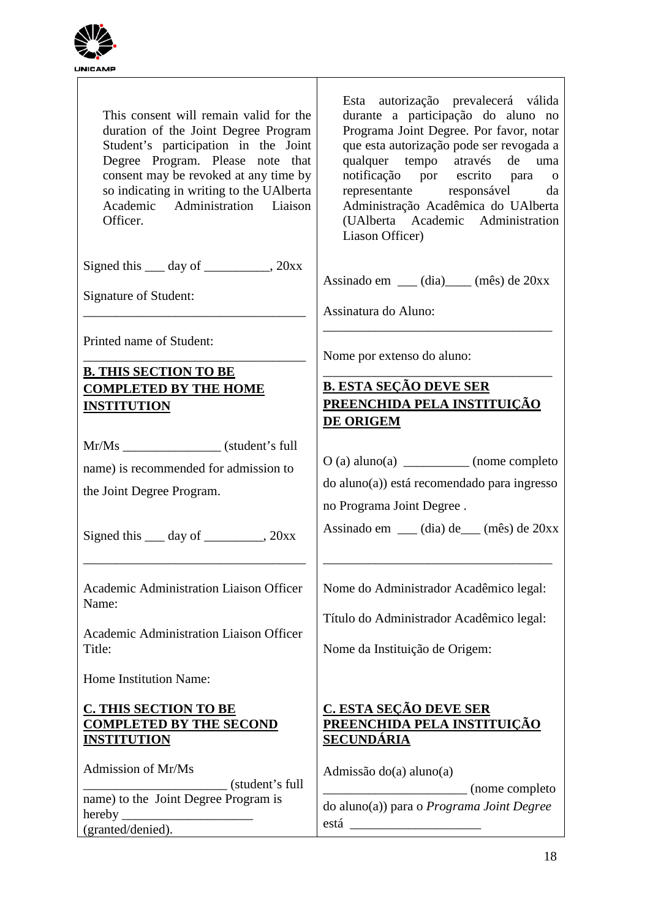

| This consent will remain valid for the<br>duration of the Joint Degree Program<br>Student's participation in the Joint<br>Degree Program. Please note that<br>consent may be revoked at any time by<br>so indicating in writing to the UAI berta<br>Academic Administration Liaison<br>Officer. | Esta autorização prevalecerá válida<br>durante a participação do aluno no<br>Programa Joint Degree. Por favor, notar<br>que esta autorização pode ser revogada a<br>qualquer tempo através de uma<br>notificação por escrito para o<br>representante responsável da<br>Administração Acadêmica do UAlberta<br>(UAlberta Academic Administration<br>Liason Officer) |
|-------------------------------------------------------------------------------------------------------------------------------------------------------------------------------------------------------------------------------------------------------------------------------------------------|--------------------------------------------------------------------------------------------------------------------------------------------------------------------------------------------------------------------------------------------------------------------------------------------------------------------------------------------------------------------|
| Signed this $\_\_\_$ day of $\_\_\_\_\_$ , 20xx<br>Signature of Student:                                                                                                                                                                                                                        | Assinado em ___ (dia)____ (mês) de 20xx                                                                                                                                                                                                                                                                                                                            |
|                                                                                                                                                                                                                                                                                                 | Assinatura do Aluno:                                                                                                                                                                                                                                                                                                                                               |
| Printed name of Student:                                                                                                                                                                                                                                                                        | Nome por extenso do aluno:                                                                                                                                                                                                                                                                                                                                         |
| <b>B. THIS SECTION TO BE</b>                                                                                                                                                                                                                                                                    | <b>B. ESTA SEÇÃO DEVE SER</b>                                                                                                                                                                                                                                                                                                                                      |
| <b>COMPLETED BY THE HOME</b><br><b>INSTITUTION</b>                                                                                                                                                                                                                                              | PREENCHIDA PELA INSTITUIÇÃO<br>DE ORIGEM                                                                                                                                                                                                                                                                                                                           |
| Mr/Ms ______________________(student's full                                                                                                                                                                                                                                                     |                                                                                                                                                                                                                                                                                                                                                                    |
| name) is recommended for admission to                                                                                                                                                                                                                                                           | $O(a)$ aluno(a) _____________ (nome completo<br>do aluno(a)) está recomendado para ingresso                                                                                                                                                                                                                                                                        |
| the Joint Degree Program.                                                                                                                                                                                                                                                                       | no Programa Joint Degree.                                                                                                                                                                                                                                                                                                                                          |
| Signed this <u>quality day</u> of <u>quality and all 20xx</u>                                                                                                                                                                                                                                   | Assinado em ___ (dia) de___ (mês) de 20xx                                                                                                                                                                                                                                                                                                                          |
| Academic Administration Liaison Officer                                                                                                                                                                                                                                                         |                                                                                                                                                                                                                                                                                                                                                                    |
| Name:                                                                                                                                                                                                                                                                                           | Nome do Administrador Acadêmico legal:                                                                                                                                                                                                                                                                                                                             |
| Academic Administration Liaison Officer                                                                                                                                                                                                                                                         | Título do Administrador Acadêmico legal:                                                                                                                                                                                                                                                                                                                           |
| Title:                                                                                                                                                                                                                                                                                          | Nome da Instituição de Origem:                                                                                                                                                                                                                                                                                                                                     |
| Home Institution Name:                                                                                                                                                                                                                                                                          |                                                                                                                                                                                                                                                                                                                                                                    |
| <b>C. THIS SECTION TO BE</b><br><b>COMPLETED BY THE SECOND</b><br><u>INSTITUTION</u>                                                                                                                                                                                                            | <u>C. ESTA SEÇÃO DEVE SER</u><br>PREENCHIDA PELA INSTITUIÇÃO<br><b>SECUNDÁRIA</b>                                                                                                                                                                                                                                                                                  |
| Admission of Mr/Ms<br>(student's full                                                                                                                                                                                                                                                           | Admissão do(a) aluno(a)                                                                                                                                                                                                                                                                                                                                            |
| name) to the Joint Degree Program is                                                                                                                                                                                                                                                            | (nome completo)<br>do aluno(a)) para o Programa Joint Degree                                                                                                                                                                                                                                                                                                       |
| hereby.<br>(granted/denied).                                                                                                                                                                                                                                                                    |                                                                                                                                                                                                                                                                                                                                                                    |
|                                                                                                                                                                                                                                                                                                 |                                                                                                                                                                                                                                                                                                                                                                    |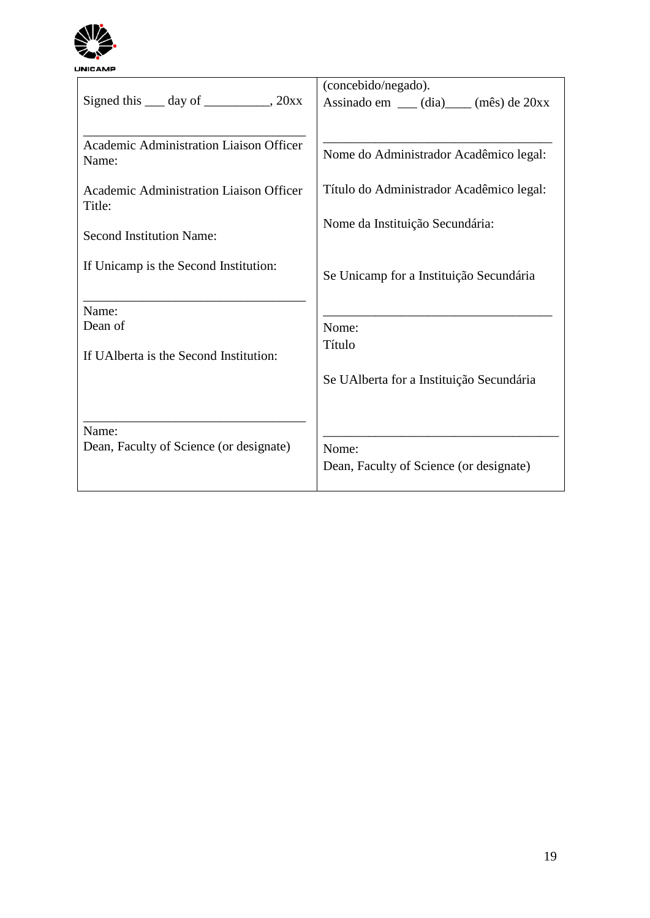

| Signed this $\_\_\_$ day of $\_\_\_\_\_$ , 20xx   | (concebido/negado).                      |
|---------------------------------------------------|------------------------------------------|
|                                                   | Assinado em ___ (dia)____ (mês) de 20xx  |
| Academic Administration Liaison Officer<br>Name:  | Nome do Administrador Acadêmico legal:   |
| Academic Administration Liaison Officer<br>Title: | Título do Administrador Acadêmico legal: |
| <b>Second Institution Name:</b>                   | Nome da Instituição Secundária:          |
| If Unicamp is the Second Institution:             | Se Unicamp for a Instituição Secundária  |
| Name:                                             |                                          |
| Dean of                                           | Nome:                                    |
| If UAI berta is the Second Institution:           | Título                                   |
|                                                   | Se UAlberta for a Instituição Secundária |
| Name:                                             |                                          |
| Dean, Faculty of Science (or designate)           | Nome:                                    |
|                                                   | Dean, Faculty of Science (or designate)  |